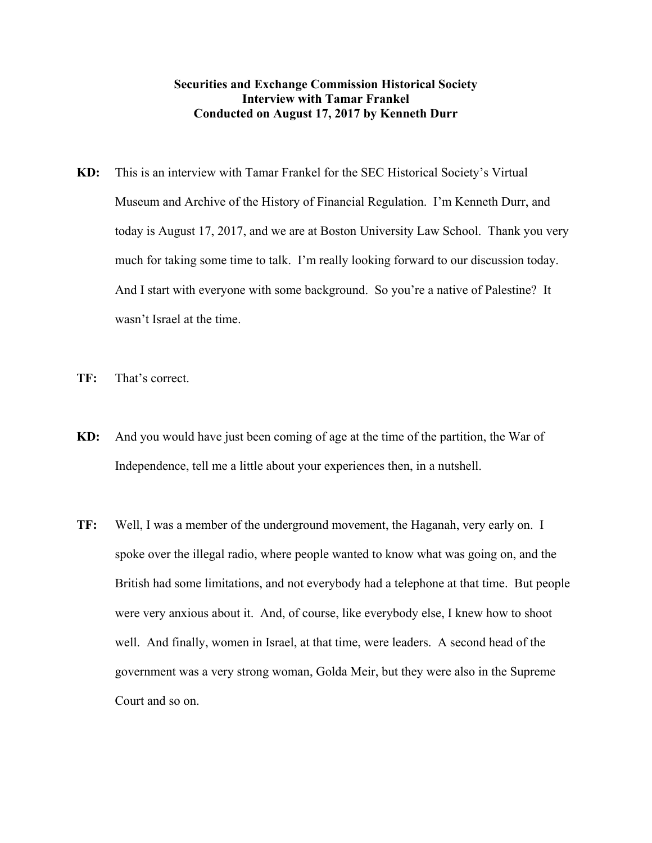## **Securities and Exchange Commission Historical Society Interview with Tamar Frankel Conducted on August 17, 2017 by Kenneth Durr**

- **KD:** This is an interview with Tamar Frankel for the SEC Historical Society's Virtual Museum and Archive of the History of Financial Regulation. I'm Kenneth Durr, and today is August 17, 2017, and we are at Boston University Law School. Thank you very much for taking some time to talk. I'm really looking forward to our discussion today. And I start with everyone with some background. So you're a native of Palestine? It wasn't Israel at the time.
- **TF:** That's correct.
- **KD:** And you would have just been coming of age at the time of the partition, the War of Independence, tell me a little about your experiences then, in a nutshell.
- **TF:** Well, I was a member of the underground movement, the Haganah, very early on. I spoke over the illegal radio, where people wanted to know what was going on, and the British had some limitations, and not everybody had a telephone at that time. But people were very anxious about it. And, of course, like everybody else, I knew how to shoot well. And finally, women in Israel, at that time, were leaders. A second head of the government was a very strong woman, Golda Meir, but they were also in the Supreme Court and so on.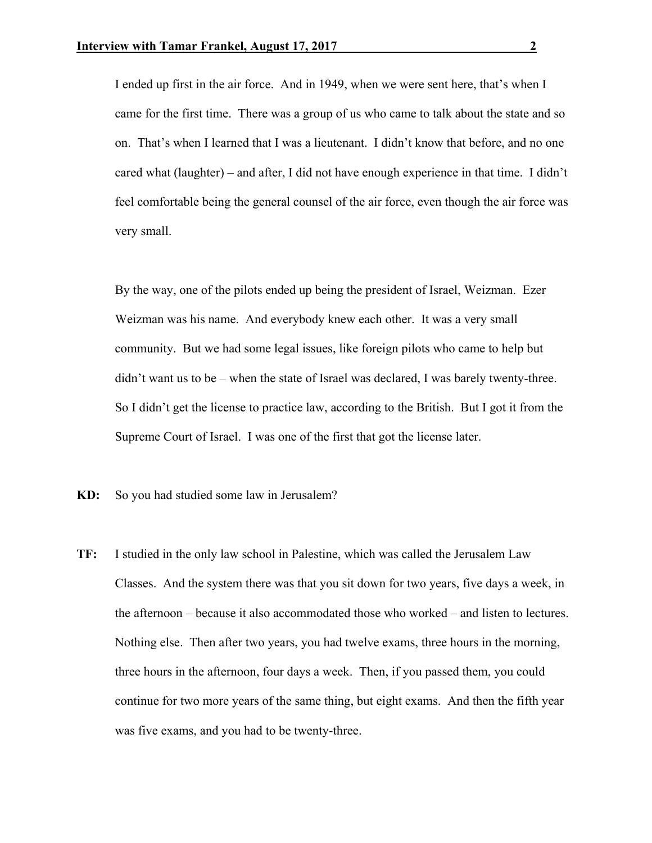I ended up first in the air force. And in 1949, when we were sent here, that's when I came for the first time. There was a group of us who came to talk about the state and so on. That's when I learned that I was a lieutenant. I didn't know that before, and no one cared what (laughter) – and after, I did not have enough experience in that time. I didn't feel comfortable being the general counsel of the air force, even though the air force was very small.

 By the way, one of the pilots ended up being the president of Israel, Weizman. Ezer Weizman was his name. And everybody knew each other. It was a very small community. But we had some legal issues, like foreign pilots who came to help but didn't want us to be – when the state of Israel was declared, I was barely twenty-three. So I didn't get the license to practice law, according to the British. But I got it from the Supreme Court of Israel. I was one of the first that got the license later.

**KD:** So you had studied some law in Jerusalem?

**TF:** I studied in the only law school in Palestine, which was called the Jerusalem Law Classes. And the system there was that you sit down for two years, five days a week, in the afternoon – because it also accommodated those who worked – and listen to lectures. Nothing else. Then after two years, you had twelve exams, three hours in the morning, three hours in the afternoon, four days a week. Then, if you passed them, you could continue for two more years of the same thing, but eight exams. And then the fifth year was five exams, and you had to be twenty-three.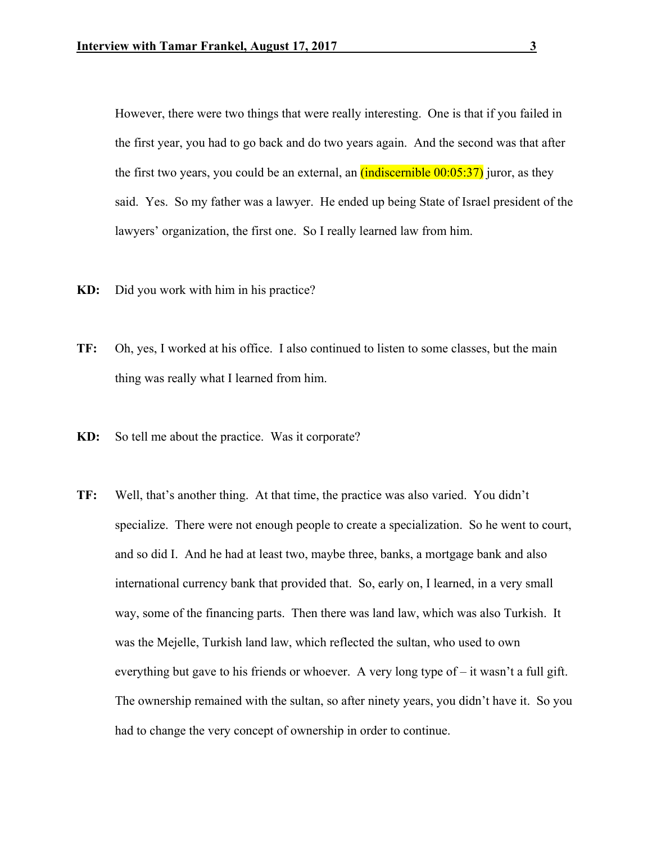However, there were two things that were really interesting. One is that if you failed in the first year, you had to go back and do two years again. And the second was that after the first two years, you could be an external, an  $(indiscernible\ 00:05:37)$  juror, as they said. Yes. So my father was a lawyer. He ended up being State of Israel president of the lawyers' organization, the first one. So I really learned law from him.

- **KD:** Did you work with him in his practice?
- **TF:** Oh, yes, I worked at his office. I also continued to listen to some classes, but the main thing was really what I learned from him.
- **KD:** So tell me about the practice. Was it corporate?
- **TF:** Well, that's another thing. At that time, the practice was also varied. You didn't specialize. There were not enough people to create a specialization. So he went to court, and so did I. And he had at least two, maybe three, banks, a mortgage bank and also international currency bank that provided that. So, early on, I learned, in a very small way, some of the financing parts. Then there was land law, which was also Turkish. It was the Mejelle, Turkish land law, which reflected the sultan, who used to own everything but gave to his friends or whoever. A very long type of  $-$  it wasn't a full gift. The ownership remained with the sultan, so after ninety years, you didn't have it. So you had to change the very concept of ownership in order to continue.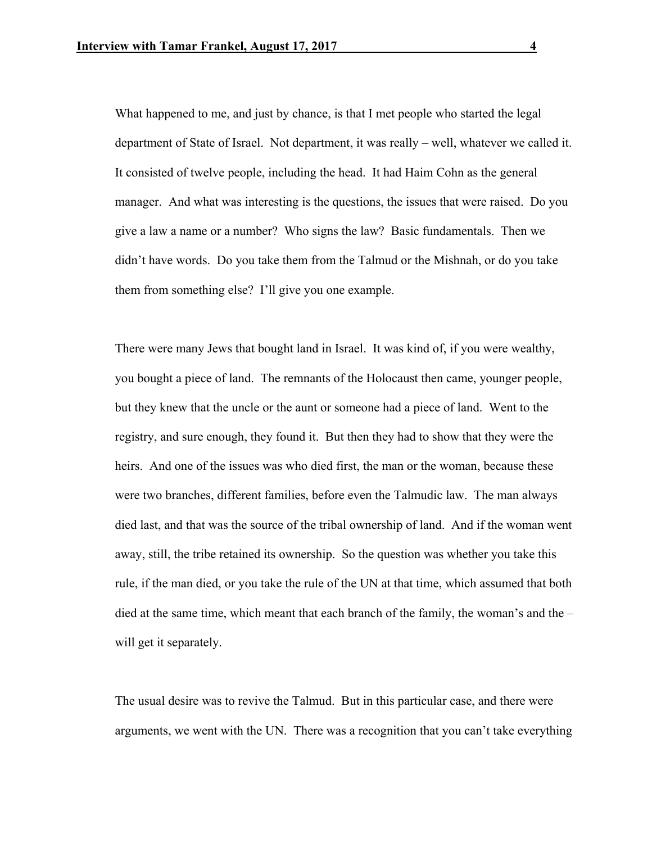What happened to me, and just by chance, is that I met people who started the legal department of State of Israel. Not department, it was really – well, whatever we called it. It consisted of twelve people, including the head. It had Haim Cohn as the general manager. And what was interesting is the questions, the issues that were raised. Do you give a law a name or a number? Who signs the law? Basic fundamentals. Then we didn't have words. Do you take them from the Talmud or the Mishnah, or do you take them from something else? I'll give you one example.

 There were many Jews that bought land in Israel. It was kind of, if you were wealthy, you bought a piece of land. The remnants of the Holocaust then came, younger people, but they knew that the uncle or the aunt or someone had a piece of land. Went to the registry, and sure enough, they found it. But then they had to show that they were the heirs. And one of the issues was who died first, the man or the woman, because these were two branches, different families, before even the Talmudic law. The man always died last, and that was the source of the tribal ownership of land. And if the woman went away, still, the tribe retained its ownership. So the question was whether you take this rule, if the man died, or you take the rule of the UN at that time, which assumed that both died at the same time, which meant that each branch of the family, the woman's and the – will get it separately.

 The usual desire was to revive the Talmud. But in this particular case, and there were arguments, we went with the UN. There was a recognition that you can't take everything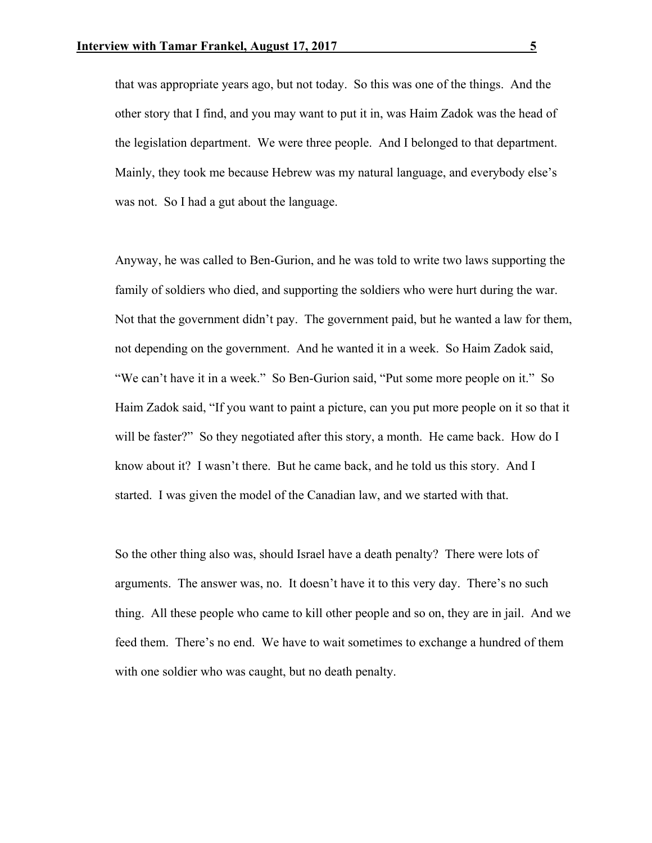that was appropriate years ago, but not today. So this was one of the things. And the other story that I find, and you may want to put it in, was Haim Zadok was the head of the legislation department. We were three people. And I belonged to that department. Mainly, they took me because Hebrew was my natural language, and everybody else's was not. So I had a gut about the language.

 Anyway, he was called to Ben-Gurion, and he was told to write two laws supporting the family of soldiers who died, and supporting the soldiers who were hurt during the war. Not that the government didn't pay. The government paid, but he wanted a law for them, not depending on the government. And he wanted it in a week. So Haim Zadok said, "We can't have it in a week." So Ben-Gurion said, "Put some more people on it." So Haim Zadok said, "If you want to paint a picture, can you put more people on it so that it will be faster?" So they negotiated after this story, a month. He came back. How do I know about it? I wasn't there. But he came back, and he told us this story. And I started. I was given the model of the Canadian law, and we started with that.

 So the other thing also was, should Israel have a death penalty? There were lots of arguments. The answer was, no. It doesn't have it to this very day. There's no such thing. All these people who came to kill other people and so on, they are in jail. And we feed them. There's no end. We have to wait sometimes to exchange a hundred of them with one soldier who was caught, but no death penalty.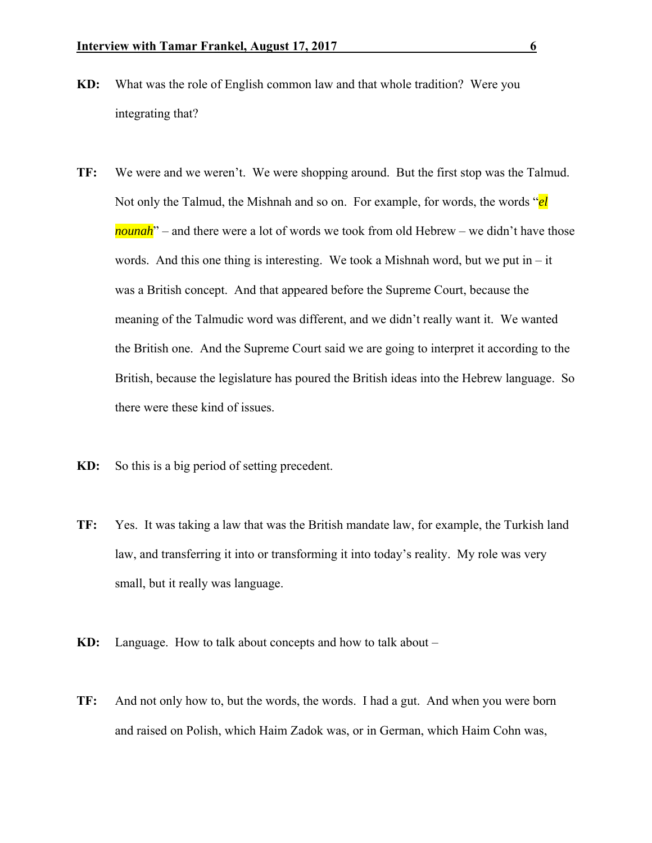- **KD:** What was the role of English common law and that whole tradition? Were you integrating that?
- **TF:** We were and we weren't. We were shopping around. But the first stop was the Talmud. Not only the Talmud, the Mishnah and so on. For example, for words, the words "*el nounah*" – and there were a lot of words we took from old Hebrew – we didn't have those words. And this one thing is interesting. We took a Mishnah word, but we put in  $-$  it was a British concept. And that appeared before the Supreme Court, because the meaning of the Talmudic word was different, and we didn't really want it. We wanted the British one. And the Supreme Court said we are going to interpret it according to the British, because the legislature has poured the British ideas into the Hebrew language. So there were these kind of issues.
- **KD:** So this is a big period of setting precedent.
- **TF:** Yes. It was taking a law that was the British mandate law, for example, the Turkish land law, and transferring it into or transforming it into today's reality. My role was very small, but it really was language.
- **KD:** Language. How to talk about concepts and how to talk about –
- **TF:** And not only how to, but the words, the words. I had a gut. And when you were born and raised on Polish, which Haim Zadok was, or in German, which Haim Cohn was,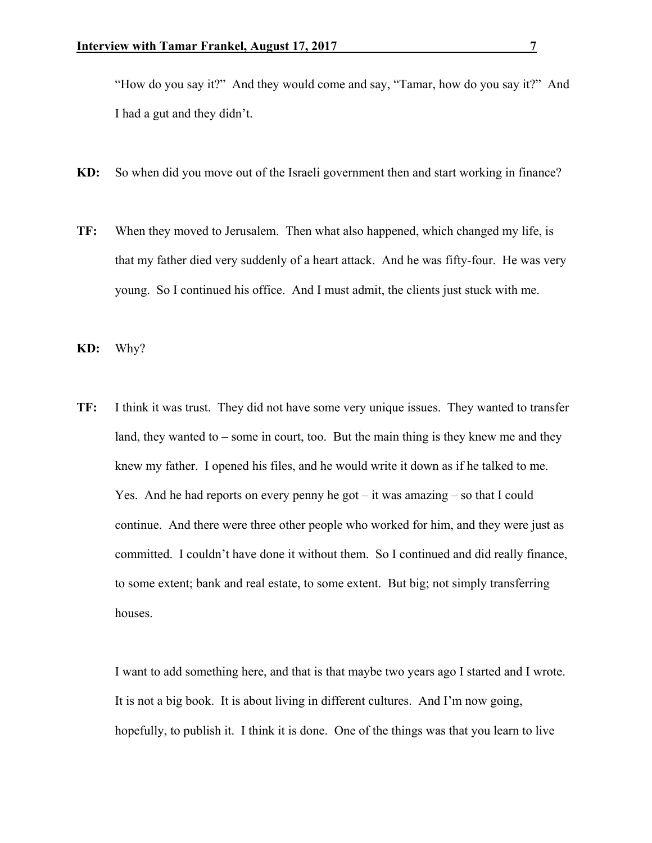"How do you say it?" And they would come and say, "Tamar, how do you say it?" And I had a gut and they didn't.

- **KD:** So when did you move out of the Israeli government then and start working in finance?
- **TF:** When they moved to Jerusalem. Then what also happened, which changed my life, is that my father died very suddenly of a heart attack. And he was fifty-four. He was very young. So I continued his office. And I must admit, the clients just stuck with me.
- **KD:** Why?
- **TF:** I think it was trust. They did not have some very unique issues. They wanted to transfer land, they wanted to – some in court, too. But the main thing is they knew me and they knew my father. I opened his files, and he would write it down as if he talked to me. Yes. And he had reports on every penny he got – it was amazing – so that I could continue. And there were three other people who worked for him, and they were just as committed. I couldn't have done it without them. So I continued and did really finance, to some extent; bank and real estate, to some extent. But big; not simply transferring houses.

 I want to add something here, and that is that maybe two years ago I started and I wrote. It is not a big book. It is about living in different cultures. And I'm now going, hopefully, to publish it. I think it is done. One of the things was that you learn to live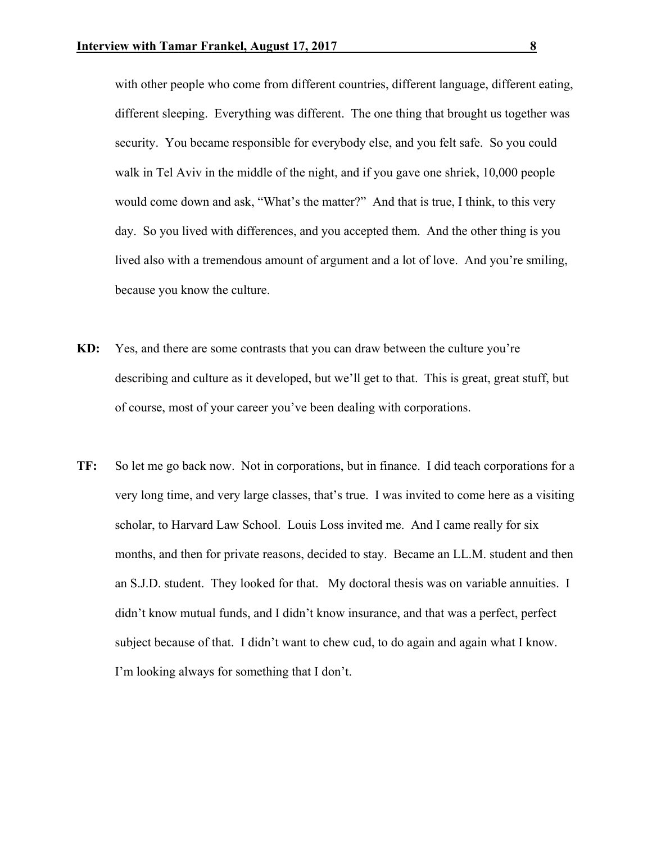with other people who come from different countries, different language, different eating, different sleeping. Everything was different. The one thing that brought us together was security. You became responsible for everybody else, and you felt safe. So you could walk in Tel Aviv in the middle of the night, and if you gave one shriek, 10,000 people would come down and ask, "What's the matter?" And that is true, I think, to this very day. So you lived with differences, and you accepted them. And the other thing is you lived also with a tremendous amount of argument and a lot of love. And you're smiling, because you know the culture.

- **KD:** Yes, and there are some contrasts that you can draw between the culture you're describing and culture as it developed, but we'll get to that. This is great, great stuff, but of course, most of your career you've been dealing with corporations.
- **TF:** So let me go back now. Not in corporations, but in finance. I did teach corporations for a very long time, and very large classes, that's true. I was invited to come here as a visiting scholar, to Harvard Law School. Louis Loss invited me. And I came really for six months, and then for private reasons, decided to stay. Became an LL.M. student and then an S.J.D. student. They looked for that. My doctoral thesis was on variable annuities. I didn't know mutual funds, and I didn't know insurance, and that was a perfect, perfect subject because of that. I didn't want to chew cud, to do again and again what I know. I'm looking always for something that I don't.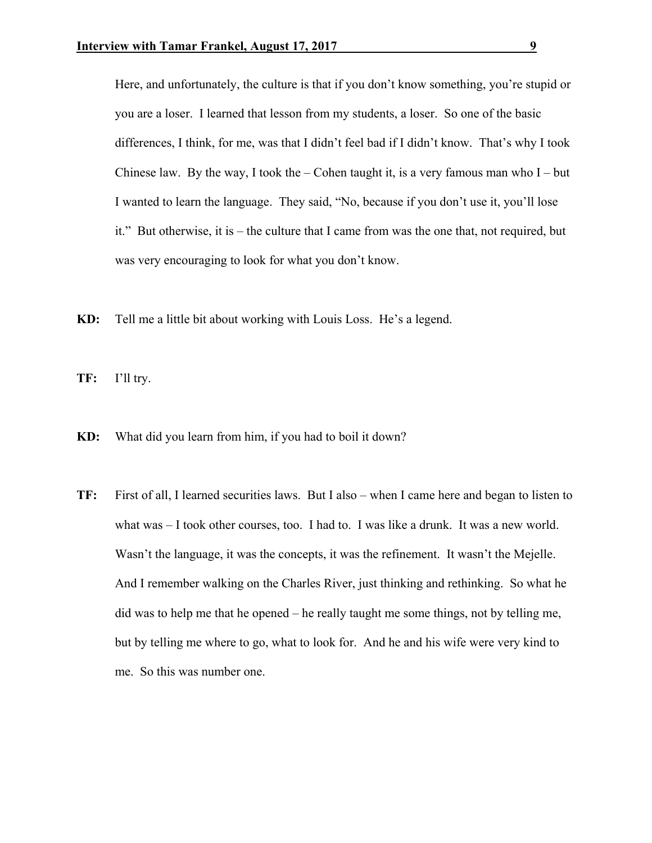Here, and unfortunately, the culture is that if you don't know something, you're stupid or you are a loser. I learned that lesson from my students, a loser. So one of the basic differences, I think, for me, was that I didn't feel bad if I didn't know. That's why I took Chinese law. By the way, I took the – Cohen taught it, is a very famous man who  $I - but$ I wanted to learn the language. They said, "No, because if you don't use it, you'll lose it." But otherwise, it is – the culture that I came from was the one that, not required, but was very encouraging to look for what you don't know.

**KD:** Tell me a little bit about working with Louis Loss. He's a legend.

**TF:** I'll try.

- **KD:** What did you learn from him, if you had to boil it down?
- **TF:** First of all, I learned securities laws. But I also when I came here and began to listen to what was – I took other courses, too. I had to. I was like a drunk. It was a new world. Wasn't the language, it was the concepts, it was the refinement. It wasn't the Mejelle. And I remember walking on the Charles River, just thinking and rethinking. So what he did was to help me that he opened – he really taught me some things, not by telling me, but by telling me where to go, what to look for. And he and his wife were very kind to me. So this was number one.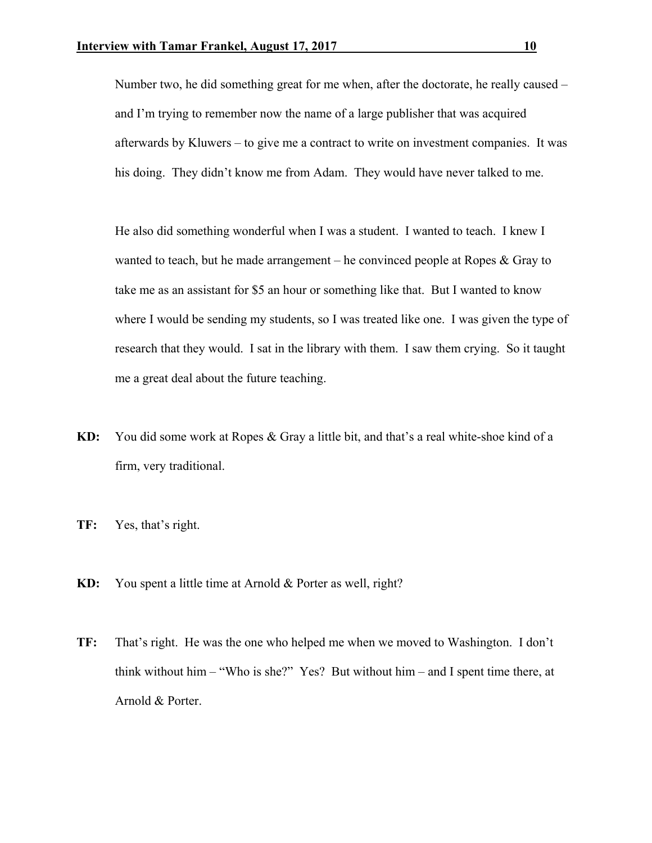Number two, he did something great for me when, after the doctorate, he really caused – and I'm trying to remember now the name of a large publisher that was acquired afterwards by Kluwers – to give me a contract to write on investment companies. It was his doing. They didn't know me from Adam. They would have never talked to me.

 He also did something wonderful when I was a student. I wanted to teach. I knew I wanted to teach, but he made arrangement – he convinced people at Ropes  $\&$  Gray to take me as an assistant for \$5 an hour or something like that. But I wanted to know where I would be sending my students, so I was treated like one. I was given the type of research that they would. I sat in the library with them. I saw them crying. So it taught me a great deal about the future teaching.

- **KD:** You did some work at Ropes & Gray a little bit, and that's a real white-shoe kind of a firm, very traditional.
- **TF:** Yes, that's right.
- **KD:** You spent a little time at Arnold & Porter as well, right?
- **TF:** That's right. He was the one who helped me when we moved to Washington. I don't think without him – "Who is she?" Yes? But without him – and I spent time there, at Arnold & Porter.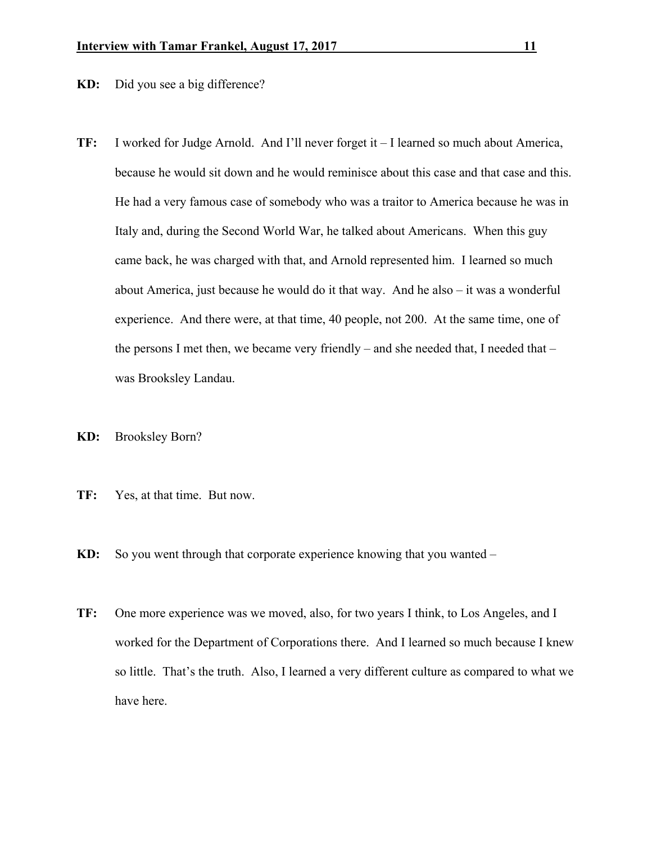**KD:** Did you see a big difference?

- **TF:** I worked for Judge Arnold. And I'll never forget it I learned so much about America, because he would sit down and he would reminisce about this case and that case and this. He had a very famous case of somebody who was a traitor to America because he was in Italy and, during the Second World War, he talked about Americans. When this guy came back, he was charged with that, and Arnold represented him. I learned so much about America, just because he would do it that way. And he also – it was a wonderful experience. And there were, at that time, 40 people, not 200. At the same time, one of the persons I met then, we became very friendly – and she needed that, I needed that – was Brooksley Landau.
- **KD:** Brooksley Born?
- **TF:** Yes, at that time. But now.
- **KD:** So you went through that corporate experience knowing that you wanted –
- **TF:** One more experience was we moved, also, for two years I think, to Los Angeles, and I worked for the Department of Corporations there. And I learned so much because I knew so little. That's the truth. Also, I learned a very different culture as compared to what we have here.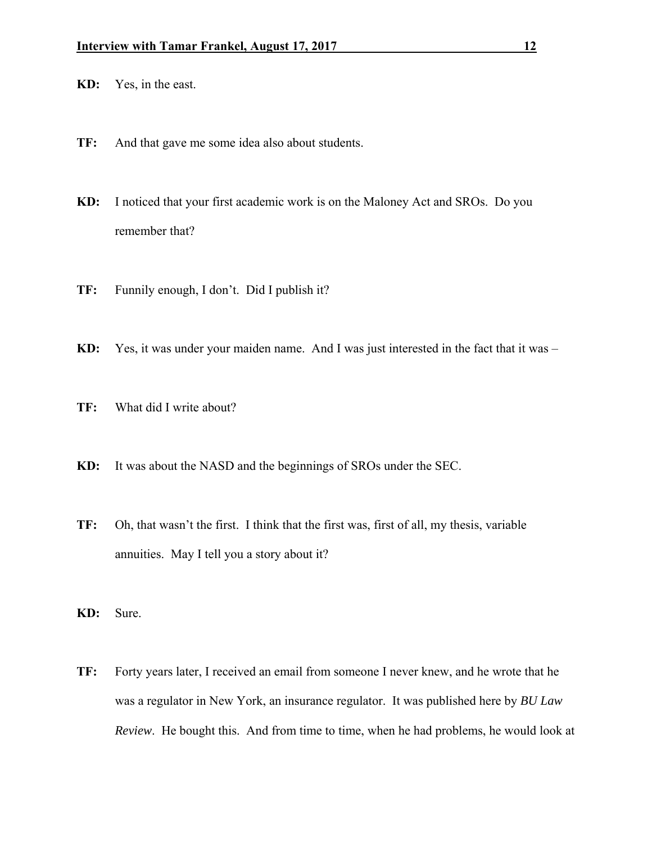- **KD:** Yes, in the east.
- **TF:** And that gave me some idea also about students.
- **KD:** I noticed that your first academic work is on the Maloney Act and SROs. Do you remember that?
- **TF:** Funnily enough, I don't. Did I publish it?
- **KD:** Yes, it was under your maiden name. And I was just interested in the fact that it was –
- **TF:** What did I write about?
- **KD:** It was about the NASD and the beginnings of SROs under the SEC.
- **TF:** Oh, that wasn't the first. I think that the first was, first of all, my thesis, variable annuities. May I tell you a story about it?
- **KD:** Sure.
- **TF:** Forty years later, I received an email from someone I never knew, and he wrote that he was a regulator in New York, an insurance regulator. It was published here by *BU Law Review*. He bought this. And from time to time, when he had problems, he would look at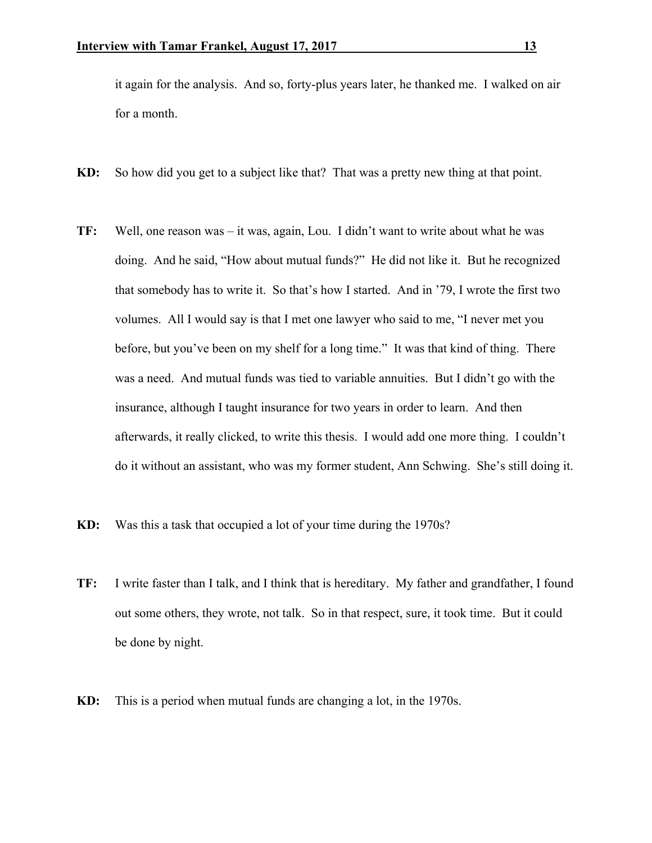it again for the analysis. And so, forty-plus years later, he thanked me. I walked on air for a month.

- **KD:** So how did you get to a subject like that? That was a pretty new thing at that point.
- **TF:** Well, one reason was it was, again, Lou. I didn't want to write about what he was doing. And he said, "How about mutual funds?" He did not like it. But he recognized that somebody has to write it. So that's how I started. And in '79, I wrote the first two volumes. All I would say is that I met one lawyer who said to me, "I never met you before, but you've been on my shelf for a long time." It was that kind of thing. There was a need. And mutual funds was tied to variable annuities. But I didn't go with the insurance, although I taught insurance for two years in order to learn. And then afterwards, it really clicked, to write this thesis. I would add one more thing. I couldn't do it without an assistant, who was my former student, Ann Schwing. She's still doing it.
- **KD:** Was this a task that occupied a lot of your time during the 1970s?
- **TF:** I write faster than I talk, and I think that is hereditary. My father and grandfather, I found out some others, they wrote, not talk. So in that respect, sure, it took time. But it could be done by night.
- **KD:** This is a period when mutual funds are changing a lot, in the 1970s.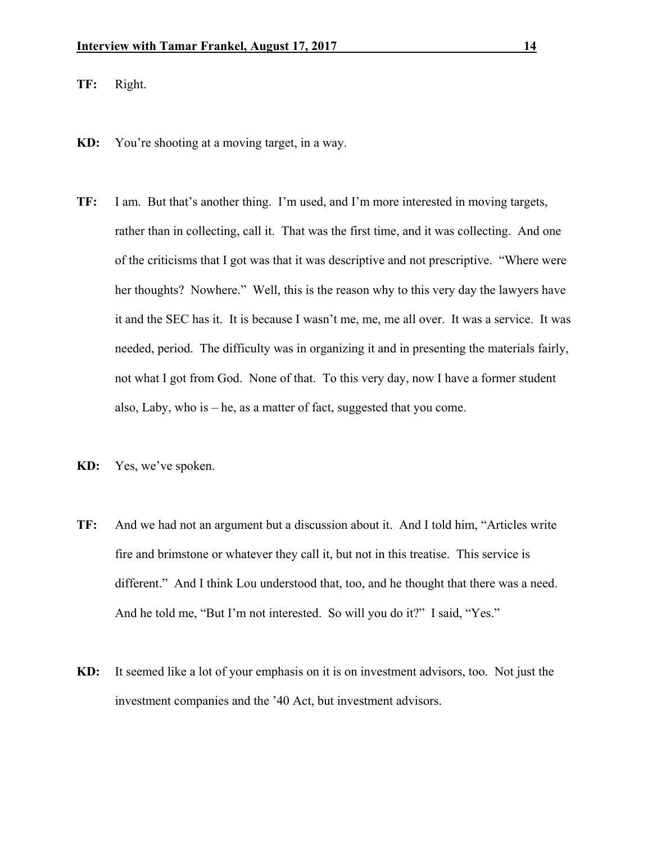- **TF:** Right.
- **KD:** You're shooting at a moving target, in a way.
- **TF:** I am. But that's another thing. I'm used, and I'm more interested in moving targets, rather than in collecting, call it. That was the first time, and it was collecting. And one of the criticisms that I got was that it was descriptive and not prescriptive. "Where were her thoughts? Nowhere." Well, this is the reason why to this very day the lawyers have it and the SEC has it. It is because I wasn't me, me, me all over. It was a service. It was needed, period. The difficulty was in organizing it and in presenting the materials fairly, not what I got from God. None of that. To this very day, now I have a former student also, Laby, who is – he, as a matter of fact, suggested that you come.
- **KD:** Yes, we've spoken.
- **TF:** And we had not an argument but a discussion about it. And I told him, "Articles write fire and brimstone or whatever they call it, but not in this treatise. This service is different." And I think Lou understood that, too, and he thought that there was a need. And he told me, "But I'm not interested. So will you do it?" I said, "Yes."
- **KD:** It seemed like a lot of your emphasis on it is on investment advisors, too. Not just the investment companies and the '40 Act, but investment advisors.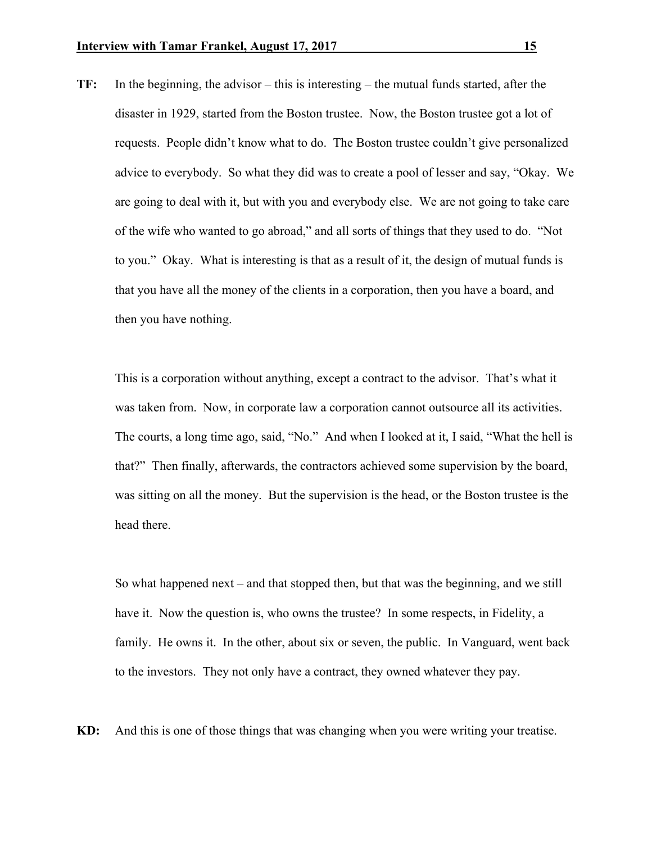**TF:** In the beginning, the advisor – this is interesting – the mutual funds started, after the disaster in 1929, started from the Boston trustee. Now, the Boston trustee got a lot of requests. People didn't know what to do. The Boston trustee couldn't give personalized advice to everybody. So what they did was to create a pool of lesser and say, "Okay. We are going to deal with it, but with you and everybody else. We are not going to take care of the wife who wanted to go abroad," and all sorts of things that they used to do. "Not to you." Okay. What is interesting is that as a result of it, the design of mutual funds is that you have all the money of the clients in a corporation, then you have a board, and then you have nothing.

 This is a corporation without anything, except a contract to the advisor. That's what it was taken from. Now, in corporate law a corporation cannot outsource all its activities. The courts, a long time ago, said, "No." And when I looked at it, I said, "What the hell is that?" Then finally, afterwards, the contractors achieved some supervision by the board, was sitting on all the money. But the supervision is the head, or the Boston trustee is the head there.

 So what happened next – and that stopped then, but that was the beginning, and we still have it. Now the question is, who owns the trustee? In some respects, in Fidelity, a family. He owns it. In the other, about six or seven, the public. In Vanguard, went back to the investors. They not only have a contract, they owned whatever they pay.

**KD:** And this is one of those things that was changing when you were writing your treatise.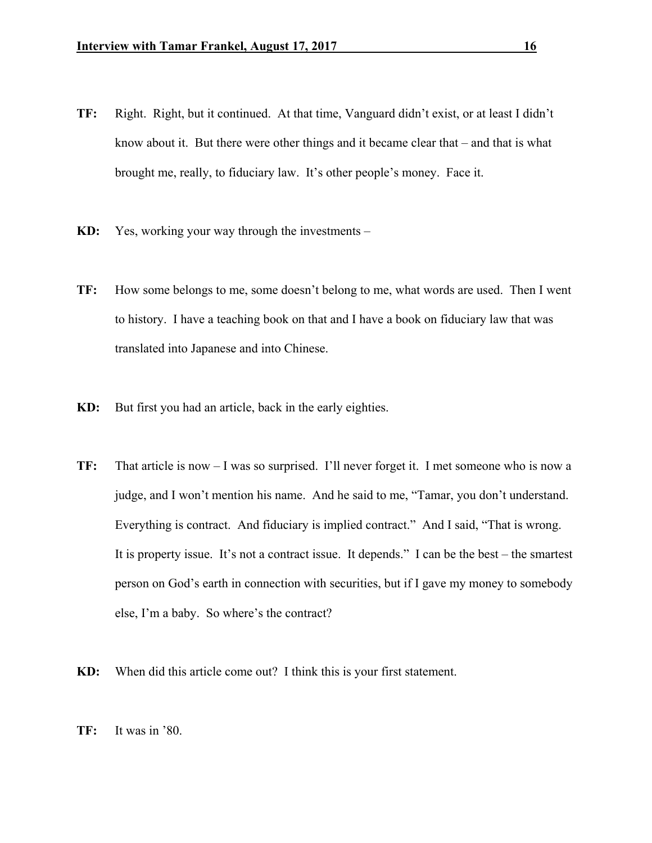- **TF:** Right. Right, but it continued. At that time, Vanguard didn't exist, or at least I didn't know about it. But there were other things and it became clear that – and that is what brought me, really, to fiduciary law. It's other people's money. Face it.
- **KD:** Yes, working your way through the investments –
- **TF:** How some belongs to me, some doesn't belong to me, what words are used. Then I went to history. I have a teaching book on that and I have a book on fiduciary law that was translated into Japanese and into Chinese.
- **KD:** But first you had an article, back in the early eighties.
- **TF:** That article is now I was so surprised. I'll never forget it. I met someone who is now a judge, and I won't mention his name. And he said to me, "Tamar, you don't understand. Everything is contract. And fiduciary is implied contract." And I said, "That is wrong. It is property issue. It's not a contract issue. It depends." I can be the best – the smartest person on God's earth in connection with securities, but if I gave my money to somebody else, I'm a baby. So where's the contract?
- **KD:** When did this article come out? I think this is your first statement.
- **TF:** It was in '80.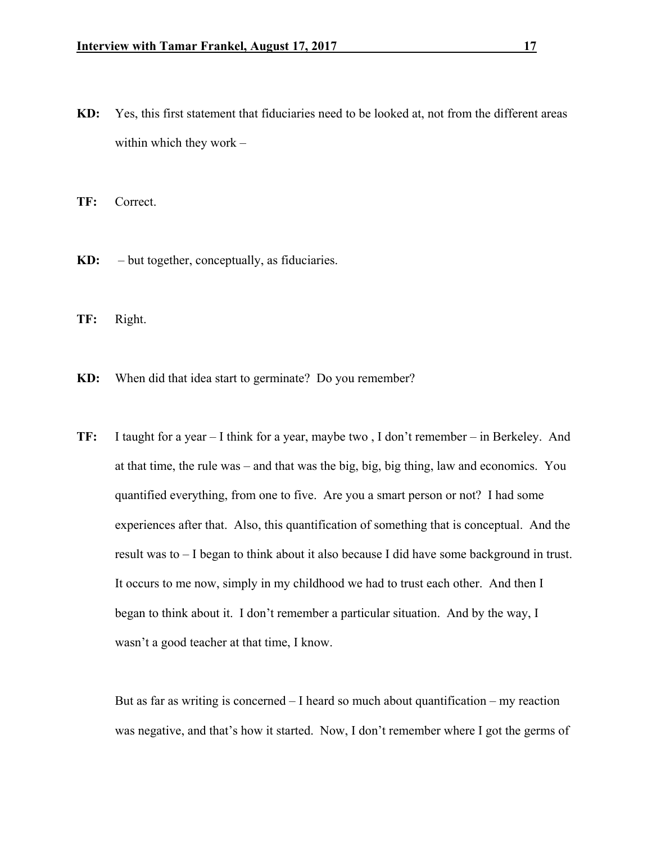**KD:** Yes, this first statement that fiduciaries need to be looked at, not from the different areas within which they work –

**TF:** Correct.

**KD:** – but together, conceptually, as fiduciaries.

**TF:** Right.

**KD:** When did that idea start to germinate? Do you remember?

**TF:** I taught for a year – I think for a year, maybe two , I don't remember – in Berkeley. And at that time, the rule was – and that was the big, big, big thing, law and economics. You quantified everything, from one to five. Are you a smart person or not? I had some experiences after that. Also, this quantification of something that is conceptual. And the result was to – I began to think about it also because I did have some background in trust. It occurs to me now, simply in my childhood we had to trust each other. And then I began to think about it. I don't remember a particular situation. And by the way, I wasn't a good teacher at that time, I know.

But as far as writing is concerned  $-1$  heard so much about quantification  $-$  my reaction was negative, and that's how it started. Now, I don't remember where I got the germs of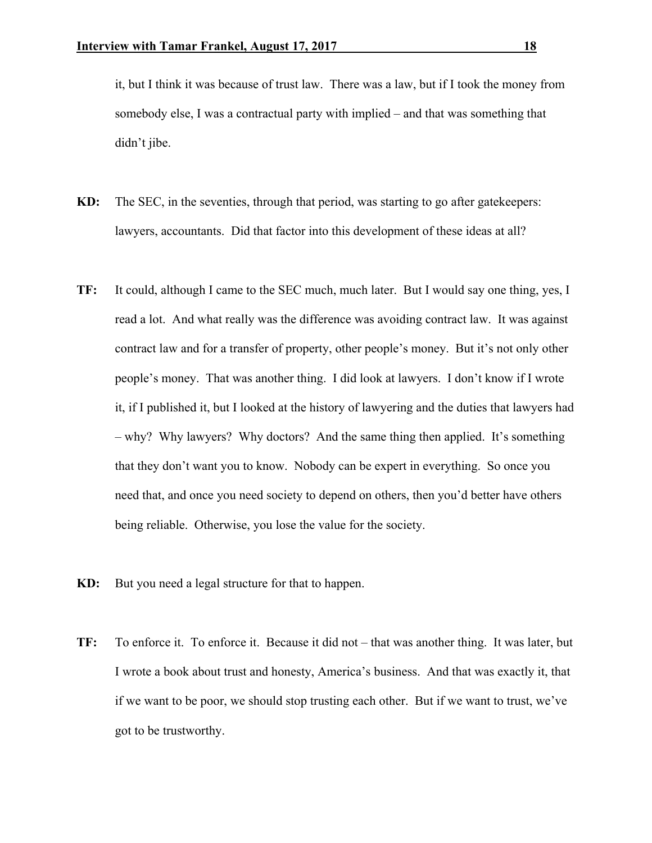it, but I think it was because of trust law. There was a law, but if I took the money from somebody else, I was a contractual party with implied – and that was something that didn't jibe.

- **KD:** The SEC, in the seventies, through that period, was starting to go after gatekeepers: lawyers, accountants. Did that factor into this development of these ideas at all?
- **TF:** It could, although I came to the SEC much, much later. But I would say one thing, yes, I read a lot. And what really was the difference was avoiding contract law. It was against contract law and for a transfer of property, other people's money. But it's not only other people's money. That was another thing. I did look at lawyers. I don't know if I wrote it, if I published it, but I looked at the history of lawyering and the duties that lawyers had – why? Why lawyers? Why doctors? And the same thing then applied. It's something that they don't want you to know. Nobody can be expert in everything. So once you need that, and once you need society to depend on others, then you'd better have others being reliable. Otherwise, you lose the value for the society.
- **KD:** But you need a legal structure for that to happen.
- **TF:** To enforce it. To enforce it. Because it did not that was another thing. It was later, but I wrote a book about trust and honesty, America's business. And that was exactly it, that if we want to be poor, we should stop trusting each other. But if we want to trust, we've got to be trustworthy.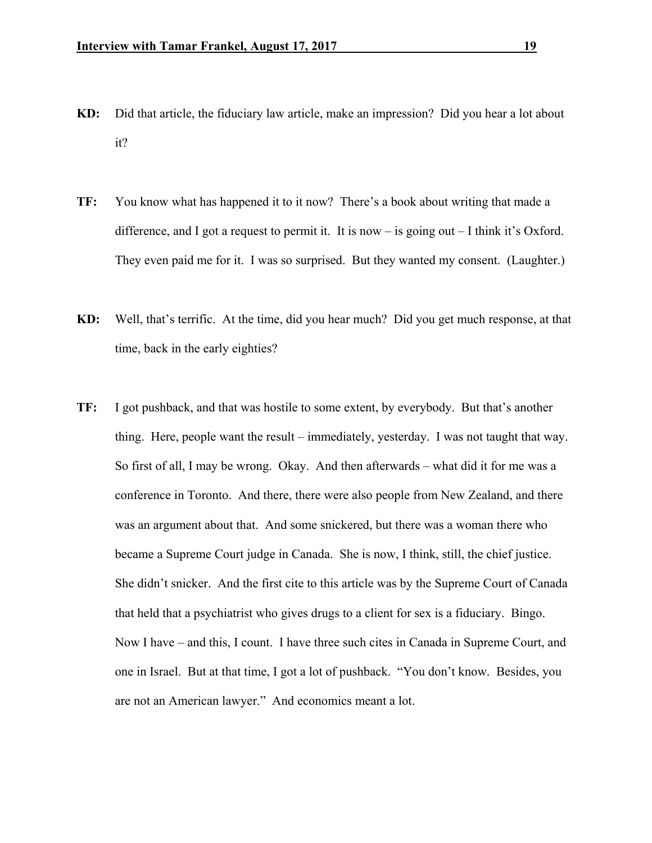- **KD:** Did that article, the fiduciary law article, make an impression? Did you hear a lot about it?
- **TF:** You know what has happened it to it now? There's a book about writing that made a difference, and I got a request to permit it. It is now – is going out – I think it's Oxford. They even paid me for it. I was so surprised. But they wanted my consent. (Laughter.)
- **KD:** Well, that's terrific. At the time, did you hear much? Did you get much response, at that time, back in the early eighties?
- **TF:** I got pushback, and that was hostile to some extent, by everybody. But that's another thing. Here, people want the result – immediately, yesterday. I was not taught that way. So first of all, I may be wrong. Okay. And then afterwards – what did it for me was a conference in Toronto. And there, there were also people from New Zealand, and there was an argument about that. And some snickered, but there was a woman there who became a Supreme Court judge in Canada. She is now, I think, still, the chief justice. She didn't snicker. And the first cite to this article was by the Supreme Court of Canada that held that a psychiatrist who gives drugs to a client for sex is a fiduciary. Bingo. Now I have – and this, I count. I have three such cites in Canada in Supreme Court, and one in Israel. But at that time, I got a lot of pushback. "You don't know. Besides, you are not an American lawyer." And economics meant a lot.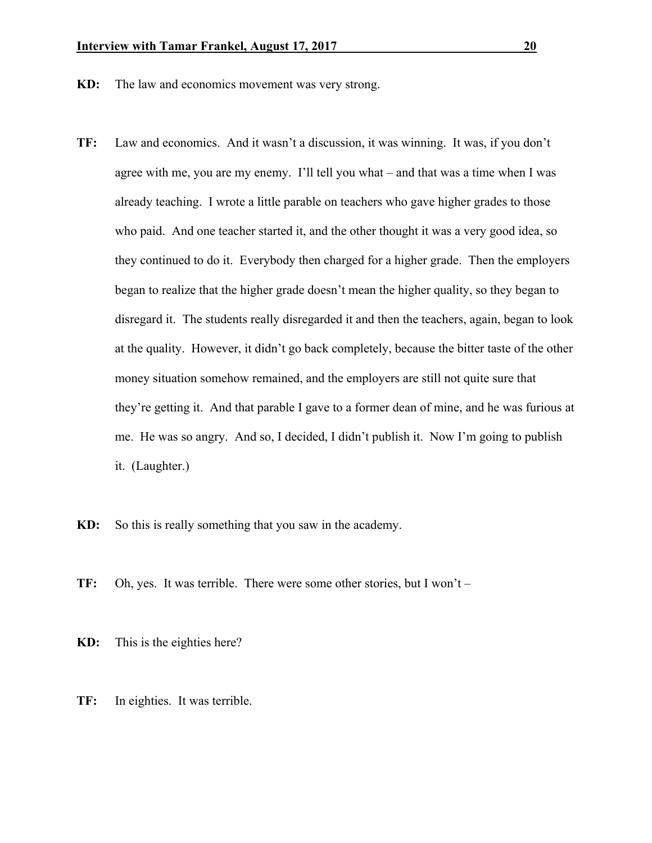- **KD:** The law and economics movement was very strong.
- **TF:** Law and economics. And it wasn't a discussion, it was winning. It was, if you don't agree with me, you are my enemy. I'll tell you what – and that was a time when I was already teaching. I wrote a little parable on teachers who gave higher grades to those who paid. And one teacher started it, and the other thought it was a very good idea, so they continued to do it. Everybody then charged for a higher grade. Then the employers began to realize that the higher grade doesn't mean the higher quality, so they began to disregard it. The students really disregarded it and then the teachers, again, began to look at the quality. However, it didn't go back completely, because the bitter taste of the other money situation somehow remained, and the employers are still not quite sure that they're getting it. And that parable I gave to a former dean of mine, and he was furious at me. He was so angry. And so, I decided, I didn't publish it. Now I'm going to publish it. (Laughter.)
- **KD:** So this is really something that you saw in the academy.
- **TF:** Oh, yes. It was terrible. There were some other stories, but I won't –
- **KD:** This is the eighties here?
- **TF:** In eighties. It was terrible.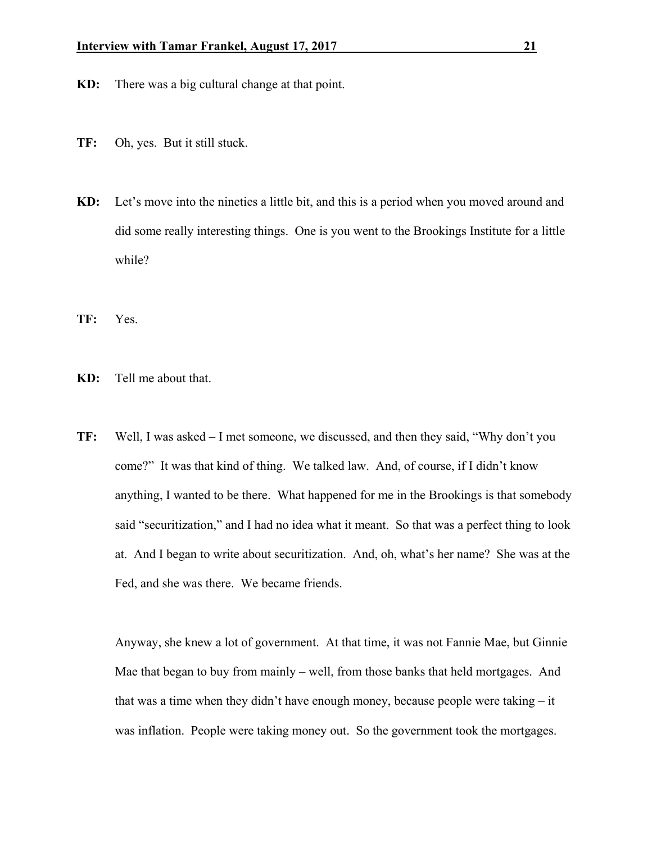- **KD:** There was a big cultural change at that point.
- **TF:** Oh, yes. But it still stuck.
- **KD:** Let's move into the nineties a little bit, and this is a period when you moved around and did some really interesting things. One is you went to the Brookings Institute for a little while?
- **TF:** Yes.
- **KD:** Tell me about that.
- **TF:** Well, I was asked I met someone, we discussed, and then they said, "Why don't you come?" It was that kind of thing. We talked law. And, of course, if I didn't know anything, I wanted to be there. What happened for me in the Brookings is that somebody said "securitization," and I had no idea what it meant. So that was a perfect thing to look at. And I began to write about securitization. And, oh, what's her name? She was at the Fed, and she was there. We became friends.

 Anyway, she knew a lot of government. At that time, it was not Fannie Mae, but Ginnie Mae that began to buy from mainly – well, from those banks that held mortgages. And that was a time when they didn't have enough money, because people were taking – it was inflation. People were taking money out. So the government took the mortgages.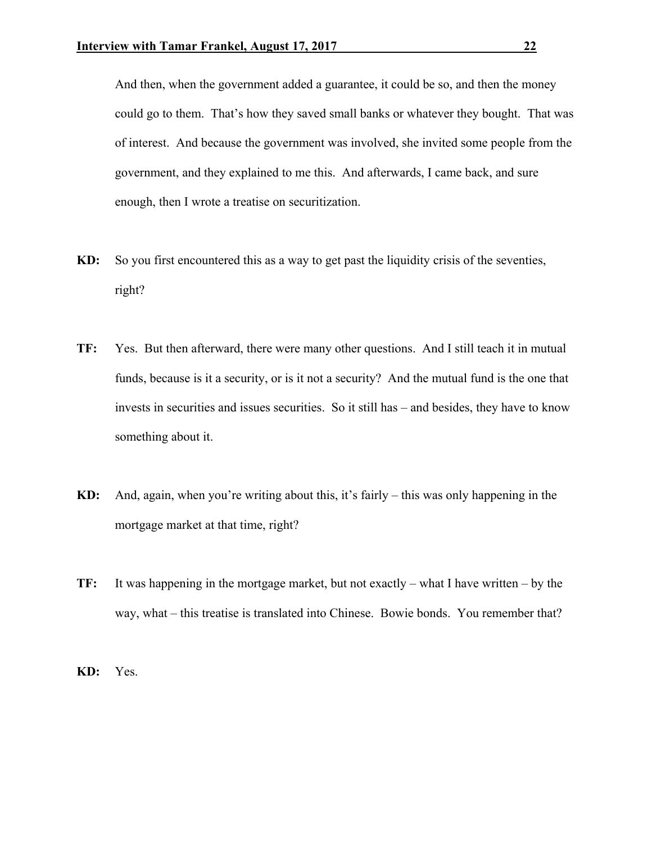And then, when the government added a guarantee, it could be so, and then the money could go to them. That's how they saved small banks or whatever they bought. That was of interest. And because the government was involved, she invited some people from the government, and they explained to me this. And afterwards, I came back, and sure enough, then I wrote a treatise on securitization.

- **KD:** So you first encountered this as a way to get past the liquidity crisis of the seventies, right?
- **TF:** Yes. But then afterward, there were many other questions. And I still teach it in mutual funds, because is it a security, or is it not a security? And the mutual fund is the one that invests in securities and issues securities. So it still has – and besides, they have to know something about it.
- **KD:** And, again, when you're writing about this, it's fairly this was only happening in the mortgage market at that time, right?
- **TF:** It was happening in the mortgage market, but not exactly what I have written by the way, what – this treatise is translated into Chinese. Bowie bonds. You remember that?

**KD:** Yes.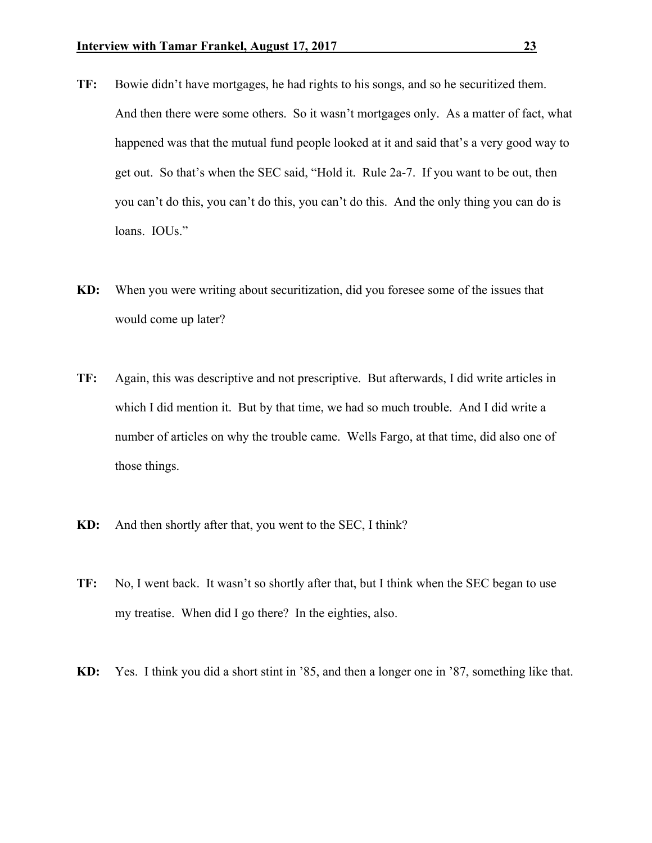- **TF:** Bowie didn't have mortgages, he had rights to his songs, and so he securitized them. And then there were some others. So it wasn't mortgages only. As a matter of fact, what happened was that the mutual fund people looked at it and said that's a very good way to get out. So that's when the SEC said, "Hold it. Rule 2a-7. If you want to be out, then you can't do this, you can't do this, you can't do this. And the only thing you can do is loans. **IOUs.**"
- **KD:** When you were writing about securitization, did you foresee some of the issues that would come up later?
- **TF:** Again, this was descriptive and not prescriptive. But afterwards, I did write articles in which I did mention it. But by that time, we had so much trouble. And I did write a number of articles on why the trouble came. Wells Fargo, at that time, did also one of those things.
- **KD:** And then shortly after that, you went to the SEC, I think?
- **TF:** No, I went back. It wasn't so shortly after that, but I think when the SEC began to use my treatise. When did I go there? In the eighties, also.
- **KD:** Yes. I think you did a short stint in '85, and then a longer one in '87, something like that.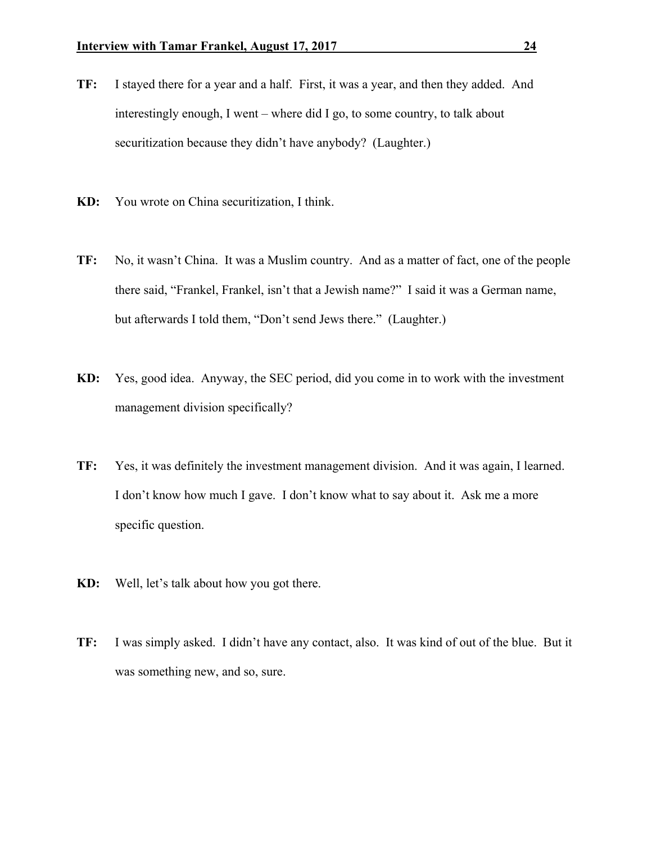- **TF:** I stayed there for a year and a half. First, it was a year, and then they added. And interestingly enough, I went – where did I go, to some country, to talk about securitization because they didn't have anybody? (Laughter.)
- **KD:** You wrote on China securitization, I think.
- **TF:** No, it wasn't China. It was a Muslim country. And as a matter of fact, one of the people there said, "Frankel, Frankel, isn't that a Jewish name?" I said it was a German name, but afterwards I told them, "Don't send Jews there." (Laughter.)
- **KD:** Yes, good idea. Anyway, the SEC period, did you come in to work with the investment management division specifically?
- **TF:** Yes, it was definitely the investment management division. And it was again, I learned. I don't know how much I gave. I don't know what to say about it. Ask me a more specific question.
- **KD:** Well, let's talk about how you got there.
- **TF:** I was simply asked. I didn't have any contact, also. It was kind of out of the blue. But it was something new, and so, sure.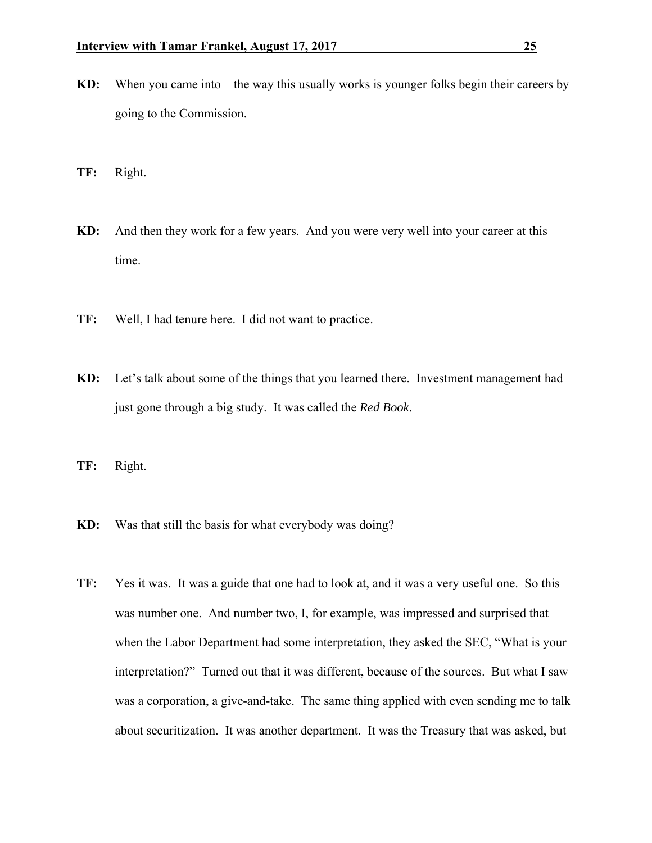- **KD:** When you came into the way this usually works is younger folks begin their careers by going to the Commission.
- **TF:** Right.
- **KD:** And then they work for a few years. And you were very well into your career at this time.
- **TF:** Well, I had tenure here. I did not want to practice.
- **KD:** Let's talk about some of the things that you learned there. Investment management had just gone through a big study. It was called the *Red Book*.
- **TF:** Right.
- **KD:** Was that still the basis for what everybody was doing?
- **TF:** Yes it was. It was a guide that one had to look at, and it was a very useful one. So this was number one. And number two, I, for example, was impressed and surprised that when the Labor Department had some interpretation, they asked the SEC, "What is your interpretation?" Turned out that it was different, because of the sources. But what I saw was a corporation, a give-and-take. The same thing applied with even sending me to talk about securitization. It was another department. It was the Treasury that was asked, but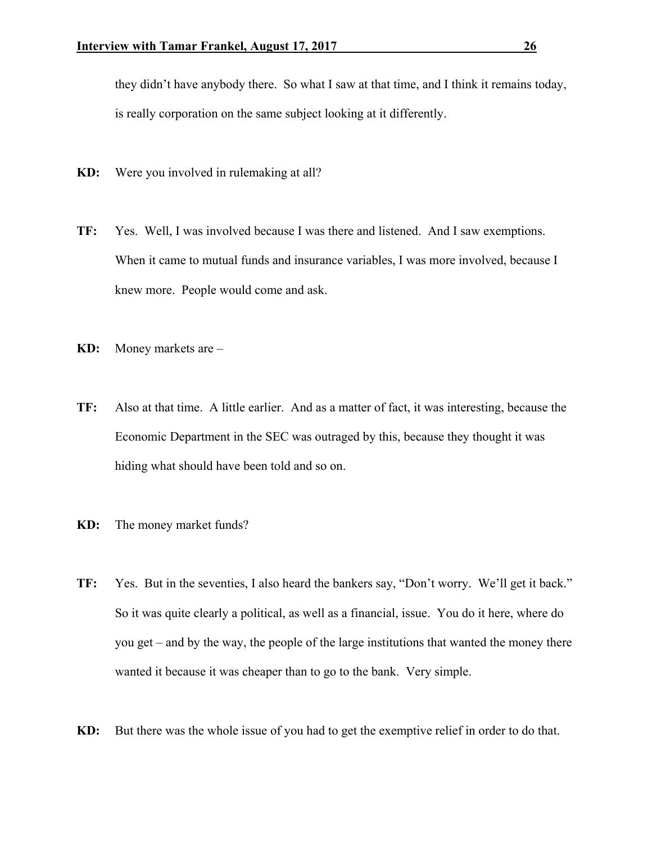they didn't have anybody there. So what I saw at that time, and I think it remains today, is really corporation on the same subject looking at it differently.

- **KD:** Were you involved in rulemaking at all?
- **TF:** Yes. Well, I was involved because I was there and listened. And I saw exemptions. When it came to mutual funds and insurance variables, I was more involved, because I knew more. People would come and ask.
- **KD:** Money markets are –
- **TF:** Also at that time. A little earlier. And as a matter of fact, it was interesting, because the Economic Department in the SEC was outraged by this, because they thought it was hiding what should have been told and so on.
- **KD:** The money market funds?
- **TF:** Yes. But in the seventies, I also heard the bankers say, "Don't worry. We'll get it back." So it was quite clearly a political, as well as a financial, issue. You do it here, where do you get – and by the way, the people of the large institutions that wanted the money there wanted it because it was cheaper than to go to the bank. Very simple.
- **KD:** But there was the whole issue of you had to get the exemptive relief in order to do that.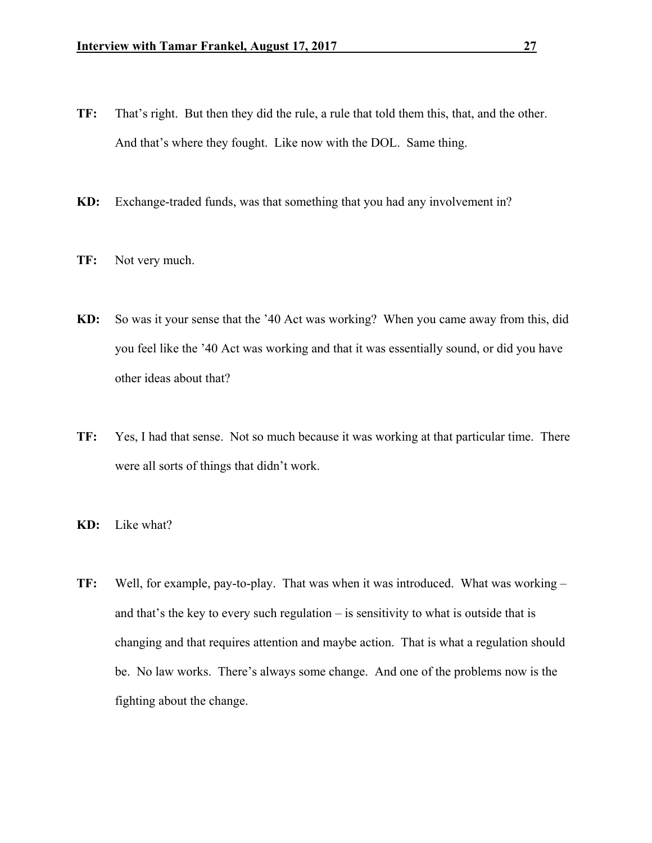- **TF:** That's right. But then they did the rule, a rule that told them this, that, and the other. And that's where they fought. Like now with the DOL. Same thing.
- **KD:** Exchange-traded funds, was that something that you had any involvement in?
- **TF:** Not very much.
- **KD:** So was it your sense that the '40 Act was working? When you came away from this, did you feel like the '40 Act was working and that it was essentially sound, or did you have other ideas about that?
- **TF:** Yes, I had that sense. Not so much because it was working at that particular time. There were all sorts of things that didn't work.
- **KD:** Like what?
- **TF:** Well, for example, pay-to-play. That was when it was introduced. What was working and that's the key to every such regulation – is sensitivity to what is outside that is changing and that requires attention and maybe action. That is what a regulation should be. No law works. There's always some change. And one of the problems now is the fighting about the change.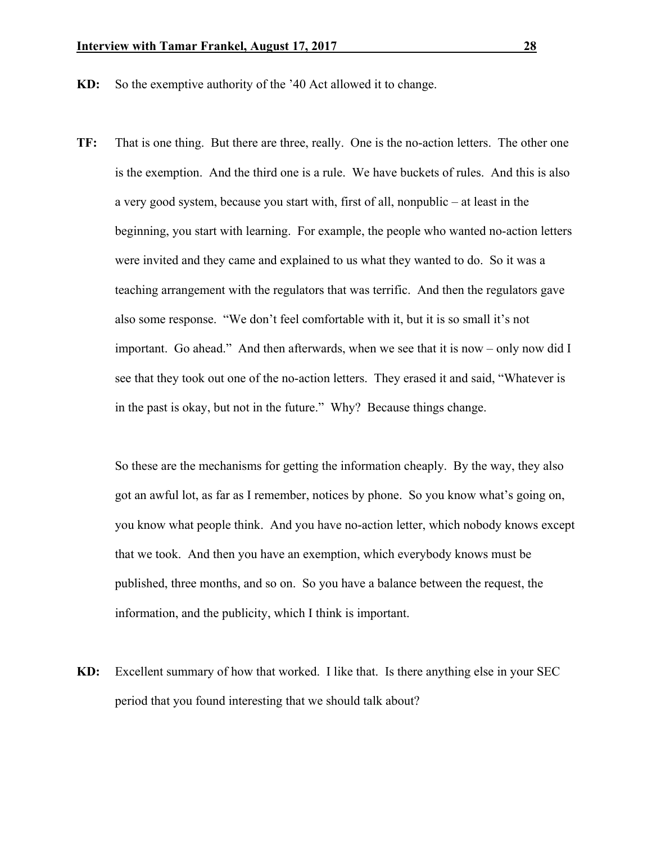**KD:** So the exemptive authority of the '40 Act allowed it to change.

**TF:** That is one thing. But there are three, really. One is the no-action letters. The other one is the exemption. And the third one is a rule. We have buckets of rules. And this is also a very good system, because you start with, first of all, nonpublic – at least in the beginning, you start with learning. For example, the people who wanted no-action letters were invited and they came and explained to us what they wanted to do. So it was a teaching arrangement with the regulators that was terrific. And then the regulators gave also some response. "We don't feel comfortable with it, but it is so small it's not important. Go ahead." And then afterwards, when we see that it is now – only now did I see that they took out one of the no-action letters. They erased it and said, "Whatever is in the past is okay, but not in the future." Why? Because things change.

 So these are the mechanisms for getting the information cheaply. By the way, they also got an awful lot, as far as I remember, notices by phone. So you know what's going on, you know what people think. And you have no-action letter, which nobody knows except that we took. And then you have an exemption, which everybody knows must be published, three months, and so on. So you have a balance between the request, the information, and the publicity, which I think is important.

**KD:** Excellent summary of how that worked. I like that. Is there anything else in your SEC period that you found interesting that we should talk about?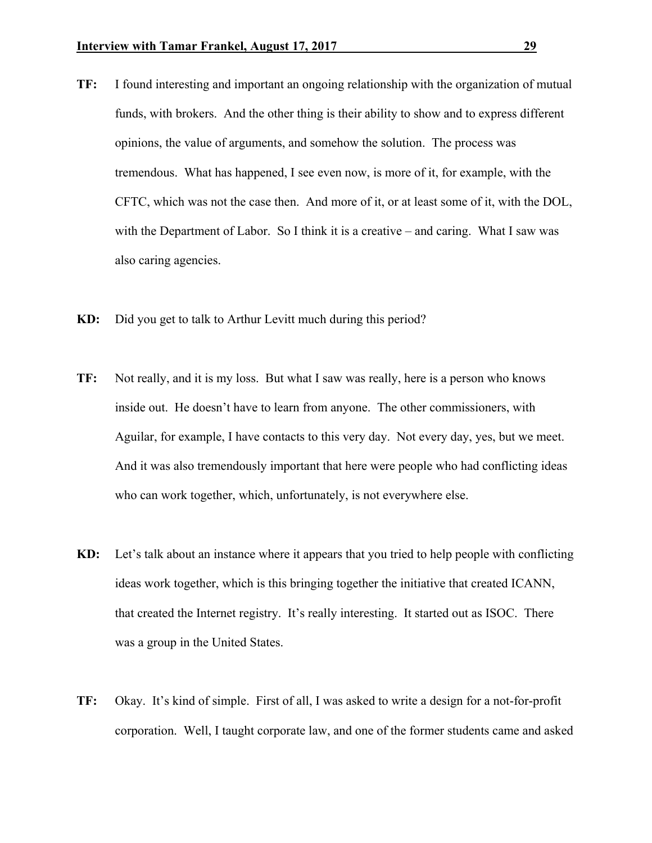- **TF:** I found interesting and important an ongoing relationship with the organization of mutual funds, with brokers. And the other thing is their ability to show and to express different opinions, the value of arguments, and somehow the solution. The process was tremendous. What has happened, I see even now, is more of it, for example, with the CFTC, which was not the case then. And more of it, or at least some of it, with the DOL, with the Department of Labor. So I think it is a creative – and caring. What I saw was also caring agencies.
- **KD:** Did you get to talk to Arthur Levitt much during this period?
- **TF:** Not really, and it is my loss. But what I saw was really, here is a person who knows inside out. He doesn't have to learn from anyone. The other commissioners, with Aguilar, for example, I have contacts to this very day. Not every day, yes, but we meet. And it was also tremendously important that here were people who had conflicting ideas who can work together, which, unfortunately, is not everywhere else.
- **KD:** Let's talk about an instance where it appears that you tried to help people with conflicting ideas work together, which is this bringing together the initiative that created ICANN, that created the Internet registry. It's really interesting. It started out as ISOC. There was a group in the United States.
- **TF:** Okay. It's kind of simple. First of all, I was asked to write a design for a not-for-profit corporation. Well, I taught corporate law, and one of the former students came and asked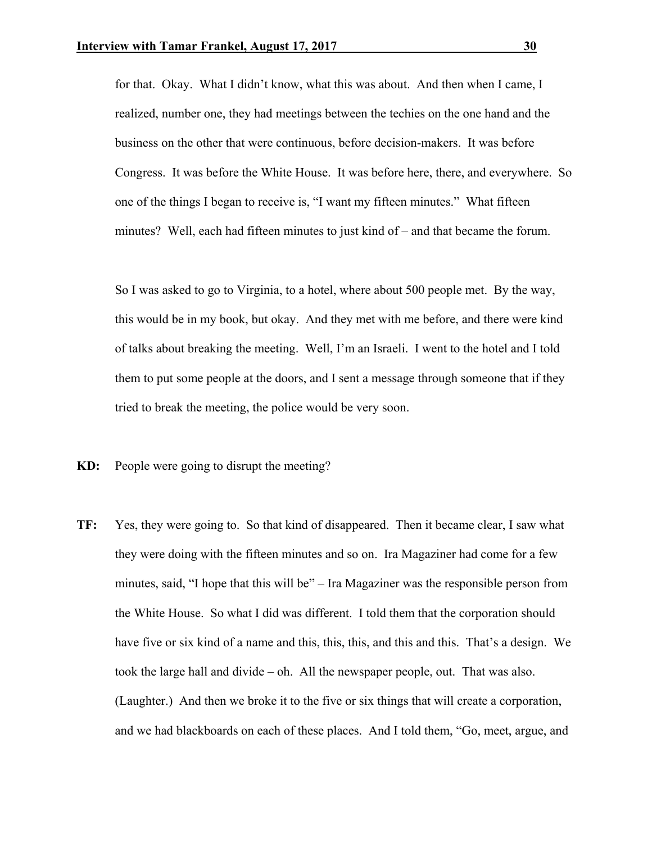for that. Okay. What I didn't know, what this was about. And then when I came, I realized, number one, they had meetings between the techies on the one hand and the business on the other that were continuous, before decision-makers. It was before Congress. It was before the White House. It was before here, there, and everywhere. So one of the things I began to receive is, "I want my fifteen minutes." What fifteen minutes? Well, each had fifteen minutes to just kind of – and that became the forum.

 So I was asked to go to Virginia, to a hotel, where about 500 people met. By the way, this would be in my book, but okay. And they met with me before, and there were kind of talks about breaking the meeting. Well, I'm an Israeli. I went to the hotel and I told them to put some people at the doors, and I sent a message through someone that if they tried to break the meeting, the police would be very soon.

**KD:** People were going to disrupt the meeting?

**TF:** Yes, they were going to. So that kind of disappeared. Then it became clear, I saw what they were doing with the fifteen minutes and so on. Ira Magaziner had come for a few minutes, said, "I hope that this will be" – Ira Magaziner was the responsible person from the White House. So what I did was different. I told them that the corporation should have five or six kind of a name and this, this, this, and this and this. That's a design. We took the large hall and divide – oh. All the newspaper people, out. That was also. (Laughter.) And then we broke it to the five or six things that will create a corporation, and we had blackboards on each of these places. And I told them, "Go, meet, argue, and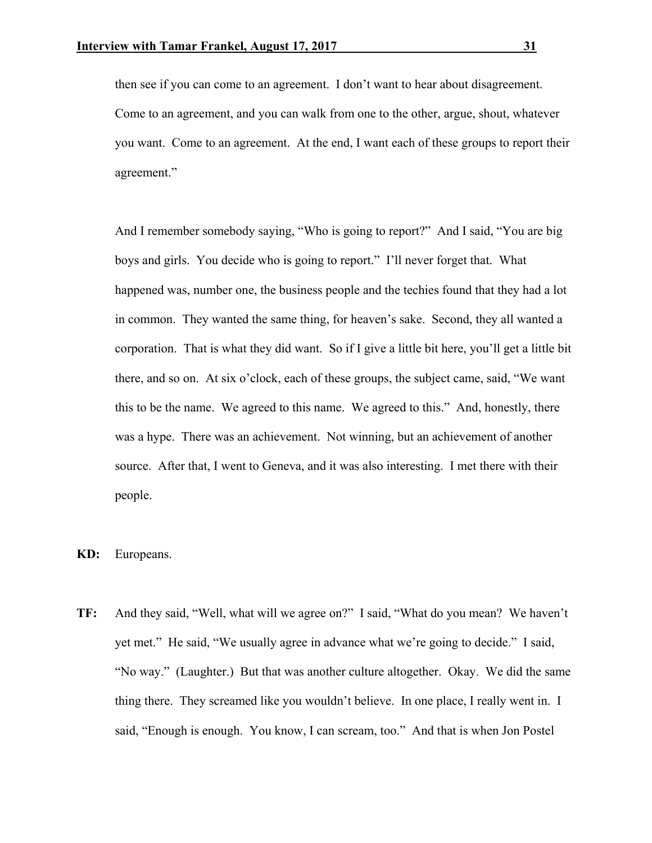then see if you can come to an agreement. I don't want to hear about disagreement. Come to an agreement, and you can walk from one to the other, argue, shout, whatever you want. Come to an agreement. At the end, I want each of these groups to report their agreement."

 And I remember somebody saying, "Who is going to report?" And I said, "You are big boys and girls. You decide who is going to report." I'll never forget that. What happened was, number one, the business people and the techies found that they had a lot in common. They wanted the same thing, for heaven's sake. Second, they all wanted a corporation. That is what they did want. So if I give a little bit here, you'll get a little bit there, and so on. At six o'clock, each of these groups, the subject came, said, "We want this to be the name. We agreed to this name. We agreed to this." And, honestly, there was a hype. There was an achievement. Not winning, but an achievement of another source. After that, I went to Geneva, and it was also interesting. I met there with their people.

**KD:** Europeans.

**TF:** And they said, "Well, what will we agree on?" I said, "What do you mean? We haven't yet met." He said, "We usually agree in advance what we're going to decide." I said, "No way." (Laughter.) But that was another culture altogether. Okay. We did the same thing there. They screamed like you wouldn't believe. In one place, I really went in. I said, "Enough is enough. You know, I can scream, too." And that is when Jon Postel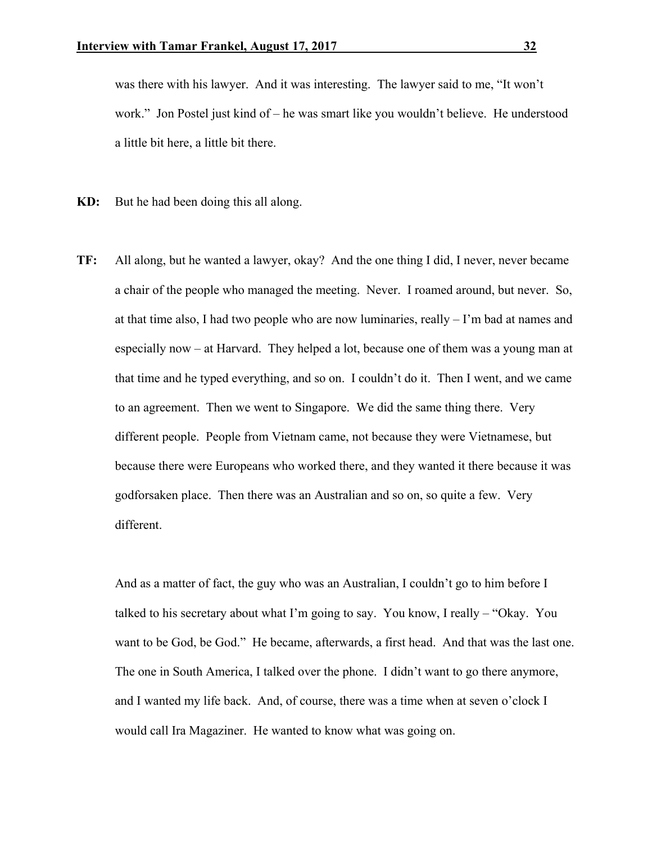was there with his lawyer. And it was interesting. The lawyer said to me, "It won't work." Jon Postel just kind of – he was smart like you wouldn't believe. He understood a little bit here, a little bit there.

- **KD:** But he had been doing this all along.
- **TF:** All along, but he wanted a lawyer, okay? And the one thing I did, I never, never became a chair of the people who managed the meeting. Never. I roamed around, but never. So, at that time also, I had two people who are now luminaries, really – I'm bad at names and especially now – at Harvard. They helped a lot, because one of them was a young man at that time and he typed everything, and so on. I couldn't do it. Then I went, and we came to an agreement. Then we went to Singapore. We did the same thing there. Very different people. People from Vietnam came, not because they were Vietnamese, but because there were Europeans who worked there, and they wanted it there because it was godforsaken place. Then there was an Australian and so on, so quite a few. Very different.

 And as a matter of fact, the guy who was an Australian, I couldn't go to him before I talked to his secretary about what I'm going to say. You know, I really – "Okay. You want to be God, be God." He became, afterwards, a first head. And that was the last one. The one in South America, I talked over the phone. I didn't want to go there anymore, and I wanted my life back. And, of course, there was a time when at seven o'clock I would call Ira Magaziner. He wanted to know what was going on.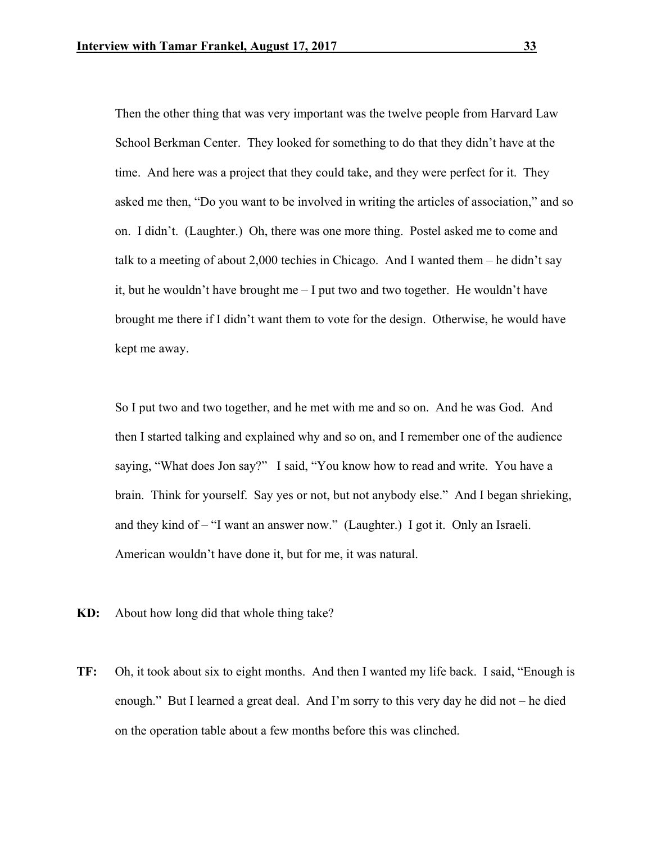Then the other thing that was very important was the twelve people from Harvard Law School Berkman Center. They looked for something to do that they didn't have at the time. And here was a project that they could take, and they were perfect for it. They asked me then, "Do you want to be involved in writing the articles of association," and so on. I didn't. (Laughter.) Oh, there was one more thing. Postel asked me to come and talk to a meeting of about 2,000 techies in Chicago. And I wanted them – he didn't say it, but he wouldn't have brought me – I put two and two together. He wouldn't have brought me there if I didn't want them to vote for the design. Otherwise, he would have kept me away.

 So I put two and two together, and he met with me and so on. And he was God. And then I started talking and explained why and so on, and I remember one of the audience saying, "What does Jon say?" I said, "You know how to read and write. You have a brain. Think for yourself. Say yes or not, but not anybody else." And I began shrieking, and they kind of – "I want an answer now." (Laughter.) I got it. Only an Israeli. American wouldn't have done it, but for me, it was natural.

- **KD:** About how long did that whole thing take?
- **TF:** Oh, it took about six to eight months. And then I wanted my life back. I said, "Enough is enough." But I learned a great deal. And I'm sorry to this very day he did not – he died on the operation table about a few months before this was clinched.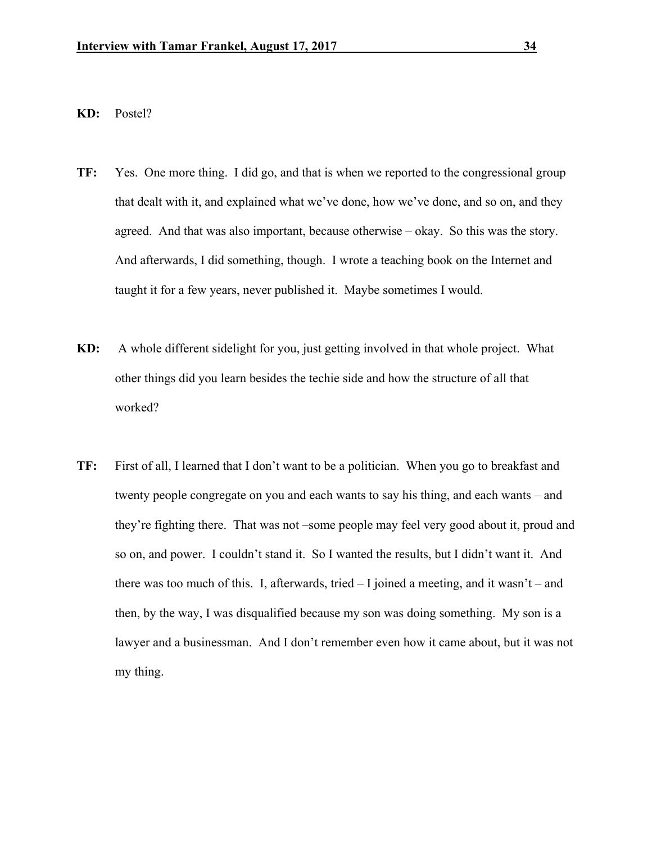## **KD:** Postel?

- **TF:** Yes. One more thing. I did go, and that is when we reported to the congressional group that dealt with it, and explained what we've done, how we've done, and so on, and they agreed. And that was also important, because otherwise – okay. So this was the story. And afterwards, I did something, though. I wrote a teaching book on the Internet and taught it for a few years, never published it. Maybe sometimes I would.
- **KD:** A whole different sidelight for you, just getting involved in that whole project. What other things did you learn besides the techie side and how the structure of all that worked?
- **TF:** First of all, I learned that I don't want to be a politician. When you go to breakfast and twenty people congregate on you and each wants to say his thing, and each wants – and they're fighting there. That was not –some people may feel very good about it, proud and so on, and power. I couldn't stand it. So I wanted the results, but I didn't want it. And there was too much of this. I, afterwards, tried  $-1$  joined a meeting, and it wasn't – and then, by the way, I was disqualified because my son was doing something. My son is a lawyer and a businessman. And I don't remember even how it came about, but it was not my thing.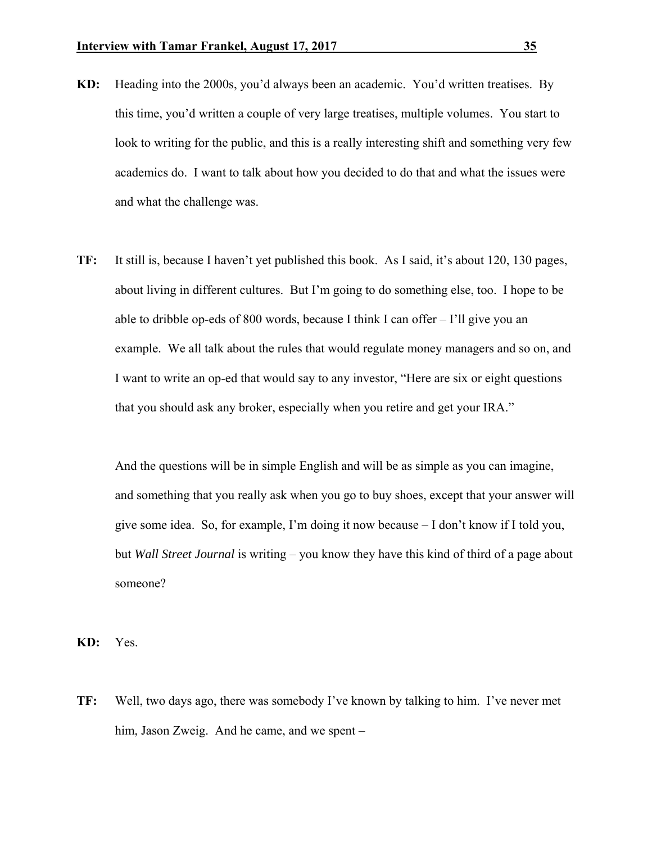- **KD:** Heading into the 2000s, you'd always been an academic. You'd written treatises. By this time, you'd written a couple of very large treatises, multiple volumes. You start to look to writing for the public, and this is a really interesting shift and something very few academics do. I want to talk about how you decided to do that and what the issues were and what the challenge was.
- **TF:** It still is, because I haven't yet published this book. As I said, it's about 120, 130 pages, about living in different cultures. But I'm going to do something else, too. I hope to be able to dribble op-eds of 800 words, because I think I can offer – I'll give you an example. We all talk about the rules that would regulate money managers and so on, and I want to write an op-ed that would say to any investor, "Here are six or eight questions that you should ask any broker, especially when you retire and get your IRA."

 And the questions will be in simple English and will be as simple as you can imagine, and something that you really ask when you go to buy shoes, except that your answer will give some idea. So, for example, I'm doing it now because – I don't know if I told you, but *Wall Street Journal* is writing – you know they have this kind of third of a page about someone?

**KD:** Yes.

**TF:** Well, two days ago, there was somebody I've known by talking to him. I've never met him, Jason Zweig. And he came, and we spent –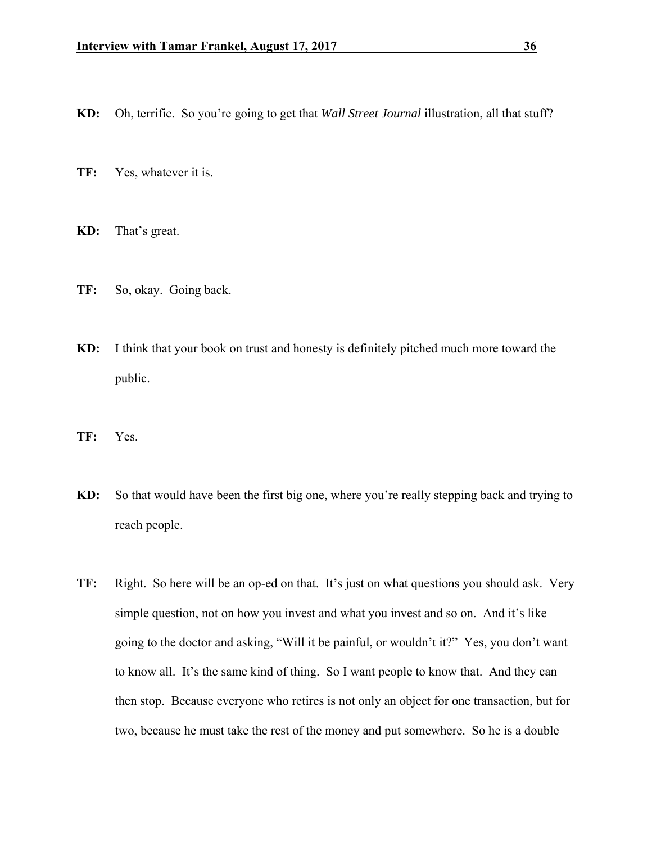- **KD:** Oh, terrific. So you're going to get that *Wall Street Journal* illustration, all that stuff?
- **TF:** Yes, whatever it is.
- **KD:** That's great.
- **TF:** So, okay. Going back.
- **KD:** I think that your book on trust and honesty is definitely pitched much more toward the public.
- **TF:** Yes.
- **KD:** So that would have been the first big one, where you're really stepping back and trying to reach people.
- **TF:** Right. So here will be an op-ed on that. It's just on what questions you should ask. Very simple question, not on how you invest and what you invest and so on. And it's like going to the doctor and asking, "Will it be painful, or wouldn't it?" Yes, you don't want to know all. It's the same kind of thing. So I want people to know that. And they can then stop. Because everyone who retires is not only an object for one transaction, but for two, because he must take the rest of the money and put somewhere. So he is a double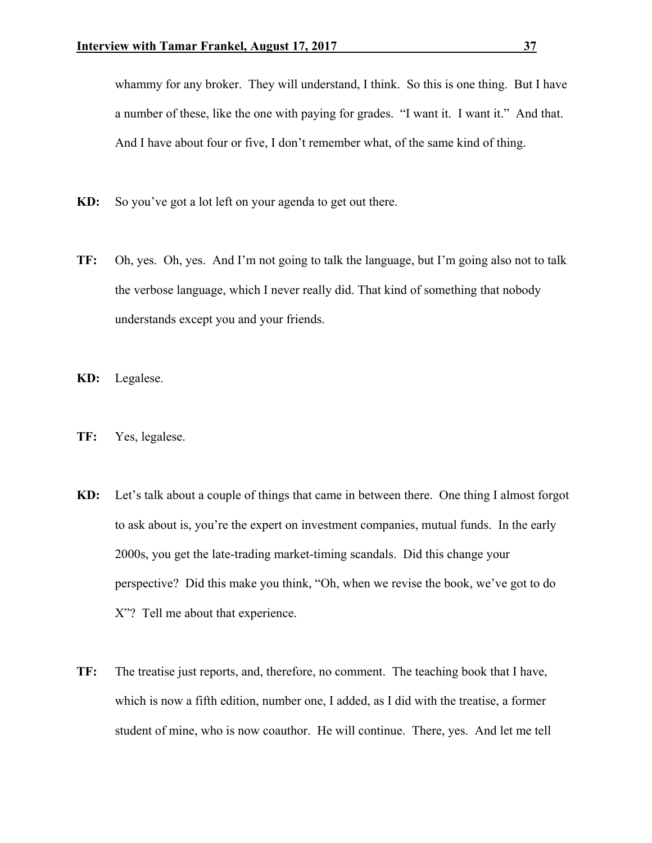whammy for any broker. They will understand, I think. So this is one thing. But I have a number of these, like the one with paying for grades. "I want it. I want it." And that. And I have about four or five, I don't remember what, of the same kind of thing.

- **KD:** So you've got a lot left on your agenda to get out there.
- **TF:** Oh, yes. Oh, yes. And I'm not going to talk the language, but I'm going also not to talk the verbose language, which I never really did. That kind of something that nobody understands except you and your friends.
- **KD:** Legalese.
- **TF:** Yes, legalese.
- **KD:** Let's talk about a couple of things that came in between there. One thing I almost forgot to ask about is, you're the expert on investment companies, mutual funds. In the early 2000s, you get the late-trading market-timing scandals. Did this change your perspective? Did this make you think, "Oh, when we revise the book, we've got to do X"? Tell me about that experience.
- **TF:** The treatise just reports, and, therefore, no comment. The teaching book that I have, which is now a fifth edition, number one, I added, as I did with the treatise, a former student of mine, who is now coauthor. He will continue. There, yes. And let me tell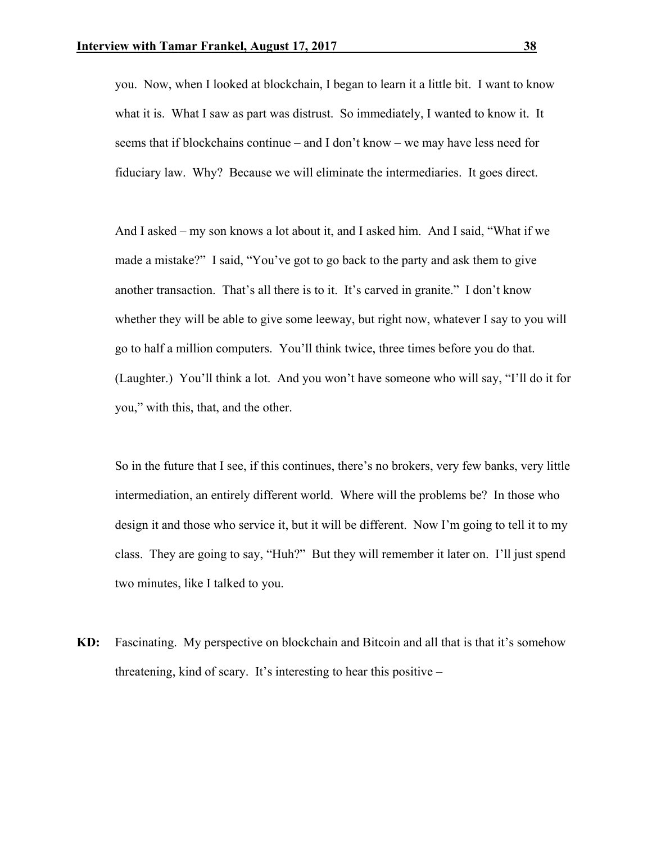you. Now, when I looked at blockchain, I began to learn it a little bit. I want to know what it is. What I saw as part was distrust. So immediately, I wanted to know it. It seems that if blockchains continue – and I don't know – we may have less need for fiduciary law. Why? Because we will eliminate the intermediaries. It goes direct.

 And I asked – my son knows a lot about it, and I asked him. And I said, "What if we made a mistake?" I said, "You've got to go back to the party and ask them to give another transaction. That's all there is to it. It's carved in granite." I don't know whether they will be able to give some leeway, but right now, whatever I say to you will go to half a million computers. You'll think twice, three times before you do that. (Laughter.) You'll think a lot. And you won't have someone who will say, "I'll do it for you," with this, that, and the other.

 So in the future that I see, if this continues, there's no brokers, very few banks, very little intermediation, an entirely different world. Where will the problems be? In those who design it and those who service it, but it will be different. Now I'm going to tell it to my class. They are going to say, "Huh?" But they will remember it later on. I'll just spend two minutes, like I talked to you.

**KD:** Fascinating. My perspective on blockchain and Bitcoin and all that is that it's somehow threatening, kind of scary. It's interesting to hear this positive –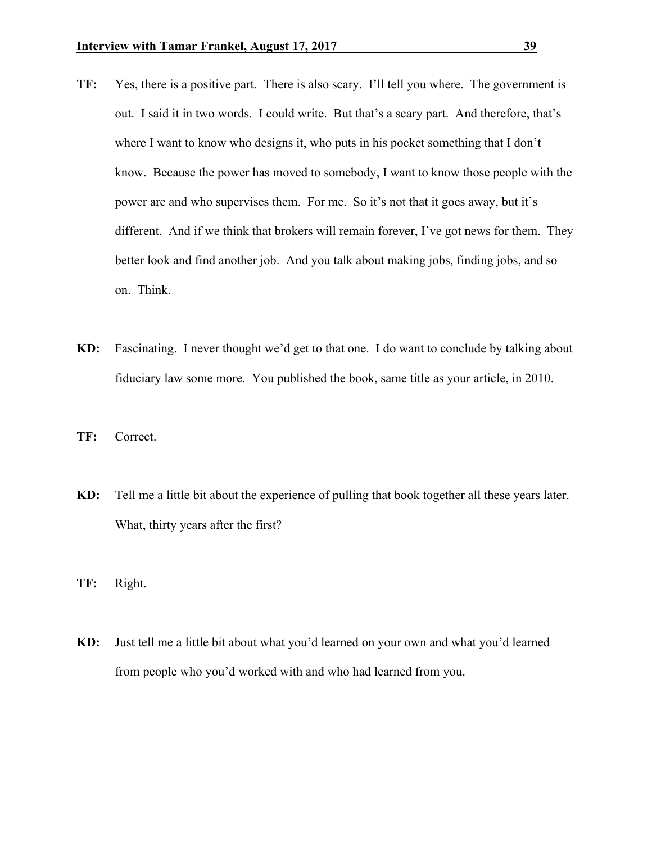- **TF:** Yes, there is a positive part. There is also scary. I'll tell you where. The government is out. I said it in two words. I could write. But that's a scary part. And therefore, that's where I want to know who designs it, who puts in his pocket something that I don't know. Because the power has moved to somebody, I want to know those people with the power are and who supervises them. For me. So it's not that it goes away, but it's different. And if we think that brokers will remain forever, I've got news for them. They better look and find another job. And you talk about making jobs, finding jobs, and so on. Think.
- **KD:** Fascinating. I never thought we'd get to that one. I do want to conclude by talking about fiduciary law some more. You published the book, same title as your article, in 2010.
- **TF:** Correct.
- **KD:** Tell me a little bit about the experience of pulling that book together all these years later. What, thirty years after the first?
- **TF:** Right.
- **KD:** Just tell me a little bit about what you'd learned on your own and what you'd learned from people who you'd worked with and who had learned from you.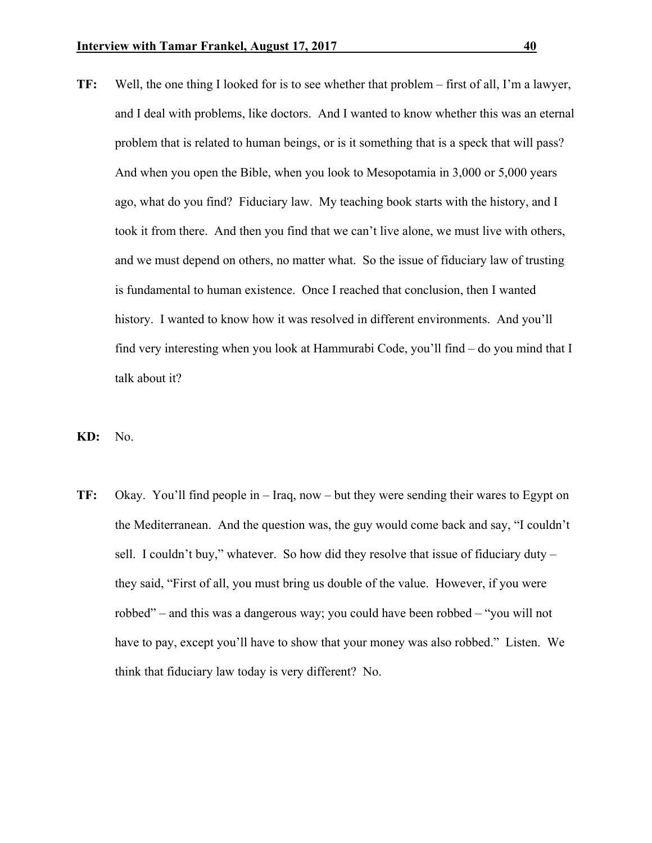- **TF:** Well, the one thing I looked for is to see whether that problem first of all, I'm a lawyer, and I deal with problems, like doctors. And I wanted to know whether this was an eternal problem that is related to human beings, or is it something that is a speck that will pass? And when you open the Bible, when you look to Mesopotamia in 3,000 or 5,000 years ago, what do you find? Fiduciary law. My teaching book starts with the history, and I took it from there. And then you find that we can't live alone, we must live with others, and we must depend on others, no matter what. So the issue of fiduciary law of trusting is fundamental to human existence. Once I reached that conclusion, then I wanted history. I wanted to know how it was resolved in different environments. And you'll find very interesting when you look at Hammurabi Code, you'll find – do you mind that I talk about it?
- **KD:** No.
- **TF:** Okay. You'll find people in Iraq, now but they were sending their wares to Egypt on the Mediterranean. And the question was, the guy would come back and say, "I couldn't sell. I couldn't buy," whatever. So how did they resolve that issue of fiduciary duty  $$ they said, "First of all, you must bring us double of the value. However, if you were robbed" – and this was a dangerous way; you could have been robbed – "you will not have to pay, except you'll have to show that your money was also robbed." Listen. We think that fiduciary law today is very different? No.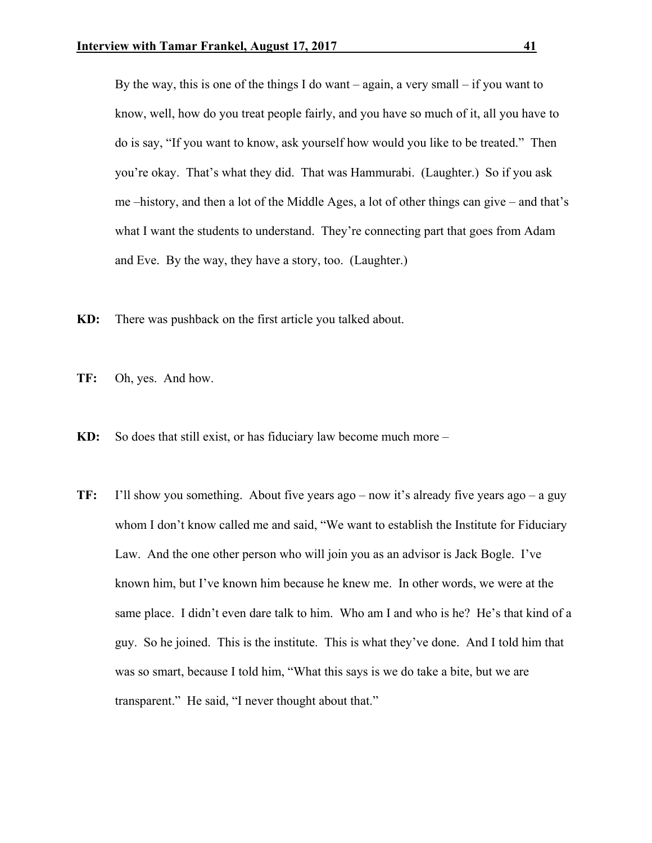By the way, this is one of the things I do want – again, a very small – if you want to know, well, how do you treat people fairly, and you have so much of it, all you have to do is say, "If you want to know, ask yourself how would you like to be treated." Then you're okay. That's what they did. That was Hammurabi. (Laughter.) So if you ask me –history, and then a lot of the Middle Ages, a lot of other things can give – and that's what I want the students to understand. They're connecting part that goes from Adam and Eve. By the way, they have a story, too. (Laughter.)

- **KD:** There was pushback on the first article you talked about.
- **TF:** Oh, yes. And how.
- **KD:** So does that still exist, or has fiduciary law become much more –
- **TF:** I'll show you something. About five years ago now it's already five years ago a guy whom I don't know called me and said, "We want to establish the Institute for Fiduciary Law. And the one other person who will join you as an advisor is Jack Bogle. I've known him, but I've known him because he knew me. In other words, we were at the same place. I didn't even dare talk to him. Who am I and who is he? He's that kind of a guy. So he joined. This is the institute. This is what they've done. And I told him that was so smart, because I told him, "What this says is we do take a bite, but we are transparent." He said, "I never thought about that."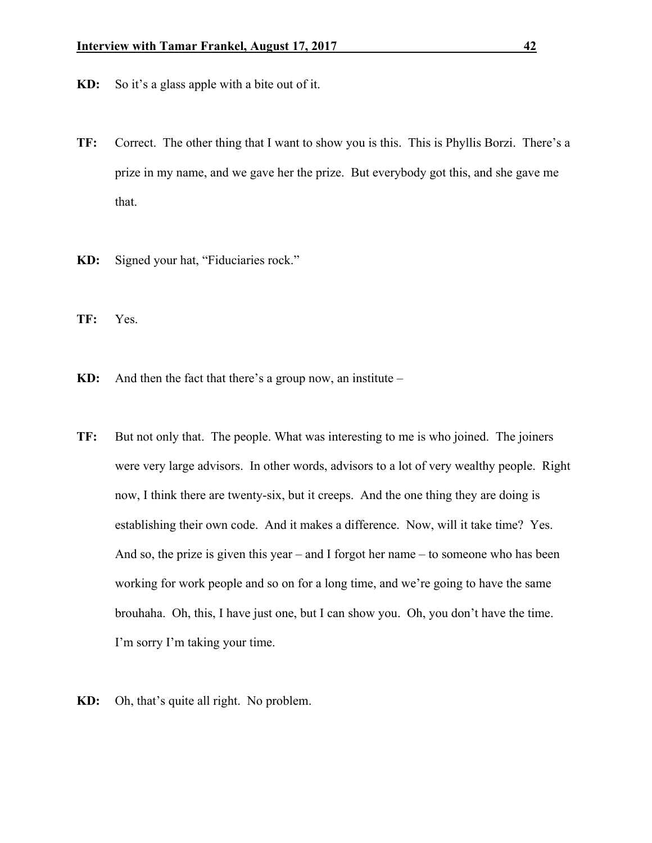- **KD:** So it's a glass apple with a bite out of it.
- **TF:** Correct. The other thing that I want to show you is this. This is Phyllis Borzi. There's a prize in my name, and we gave her the prize. But everybody got this, and she gave me that.
- **KD:** Signed your hat, "Fiduciaries rock."
- **TF:** Yes.
- **KD:** And then the fact that there's a group now, an institute –
- **TF:** But not only that. The people. What was interesting to me is who joined. The joiners were very large advisors. In other words, advisors to a lot of very wealthy people. Right now, I think there are twenty-six, but it creeps. And the one thing they are doing is establishing their own code. And it makes a difference. Now, will it take time? Yes. And so, the prize is given this year – and I forgot her name – to someone who has been working for work people and so on for a long time, and we're going to have the same brouhaha. Oh, this, I have just one, but I can show you. Oh, you don't have the time. I'm sorry I'm taking your time.
- **KD:** Oh, that's quite all right. No problem.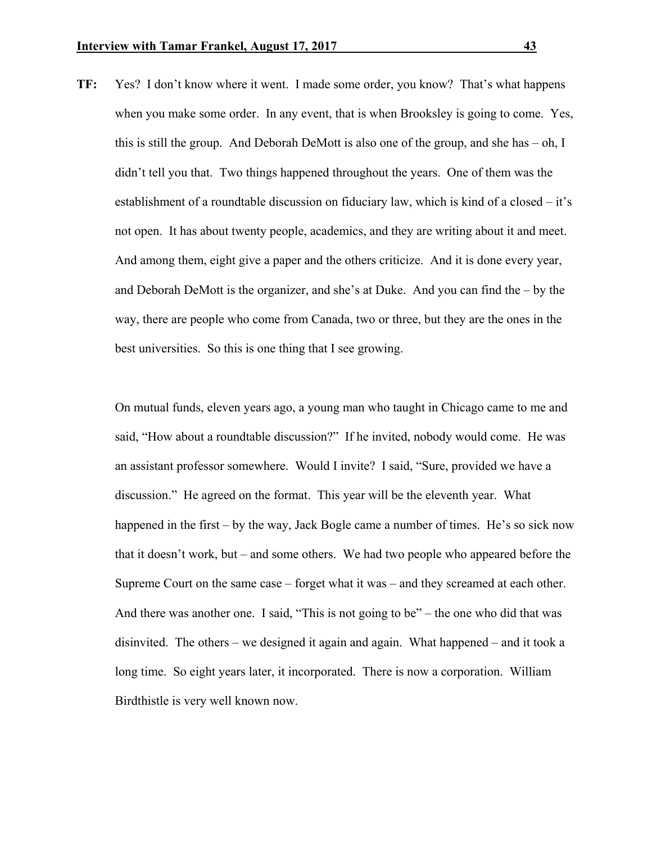**TF:** Yes? I don't know where it went. I made some order, you know? That's what happens when you make some order. In any event, that is when Brooksley is going to come. Yes, this is still the group. And Deborah DeMott is also one of the group, and she has – oh, I didn't tell you that. Two things happened throughout the years. One of them was the establishment of a roundtable discussion on fiduciary law, which is kind of a closed – it's not open. It has about twenty people, academics, and they are writing about it and meet. And among them, eight give a paper and the others criticize. And it is done every year, and Deborah DeMott is the organizer, and she's at Duke. And you can find the – by the way, there are people who come from Canada, two or three, but they are the ones in the best universities. So this is one thing that I see growing.

 On mutual funds, eleven years ago, a young man who taught in Chicago came to me and said, "How about a roundtable discussion?" If he invited, nobody would come. He was an assistant professor somewhere. Would I invite? I said, "Sure, provided we have a discussion." He agreed on the format. This year will be the eleventh year. What happened in the first – by the way, Jack Bogle came a number of times. He's so sick now that it doesn't work, but – and some others. We had two people who appeared before the Supreme Court on the same case – forget what it was – and they screamed at each other. And there was another one. I said, "This is not going to be" – the one who did that was disinvited. The others – we designed it again and again. What happened – and it took a long time. So eight years later, it incorporated. There is now a corporation. William Birdthistle is very well known now.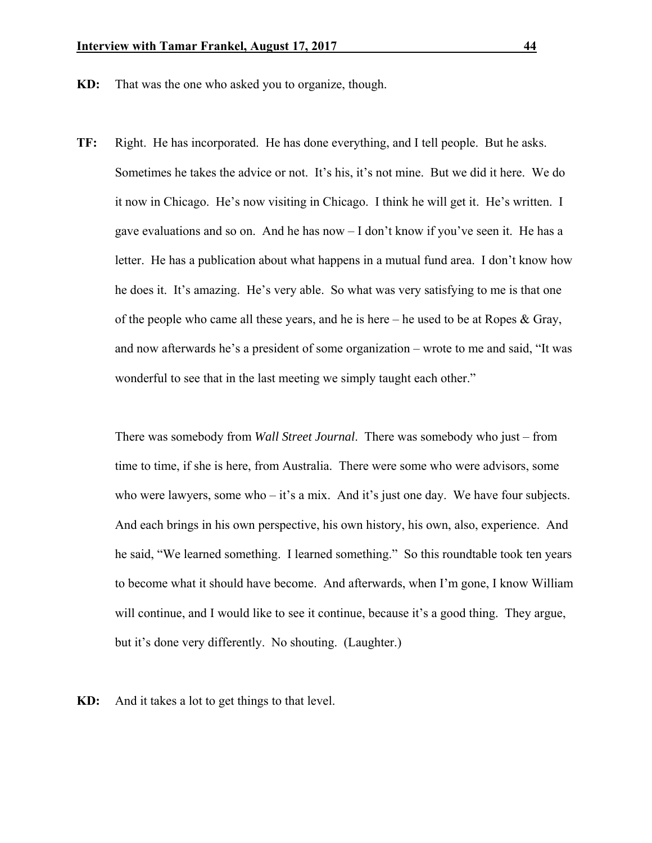- **KD:** That was the one who asked you to organize, though.
- **TF:** Right. He has incorporated. He has done everything, and I tell people. But he asks. Sometimes he takes the advice or not. It's his, it's not mine. But we did it here. We do it now in Chicago. He's now visiting in Chicago. I think he will get it. He's written. I gave evaluations and so on. And he has now – I don't know if you've seen it. He has a letter. He has a publication about what happens in a mutual fund area. I don't know how he does it. It's amazing. He's very able. So what was very satisfying to me is that one of the people who came all these years, and he is here – he used to be at Ropes  $\&$  Gray, and now afterwards he's a president of some organization – wrote to me and said, "It was wonderful to see that in the last meeting we simply taught each other."

 There was somebody from *Wall Street Journal*. There was somebody who just – from time to time, if she is here, from Australia. There were some who were advisors, some who were lawyers, some who – it's a mix. And it's just one day. We have four subjects. And each brings in his own perspective, his own history, his own, also, experience. And he said, "We learned something. I learned something." So this roundtable took ten years to become what it should have become. And afterwards, when I'm gone, I know William will continue, and I would like to see it continue, because it's a good thing. They argue, but it's done very differently. No shouting. (Laughter.)

**KD:** And it takes a lot to get things to that level.